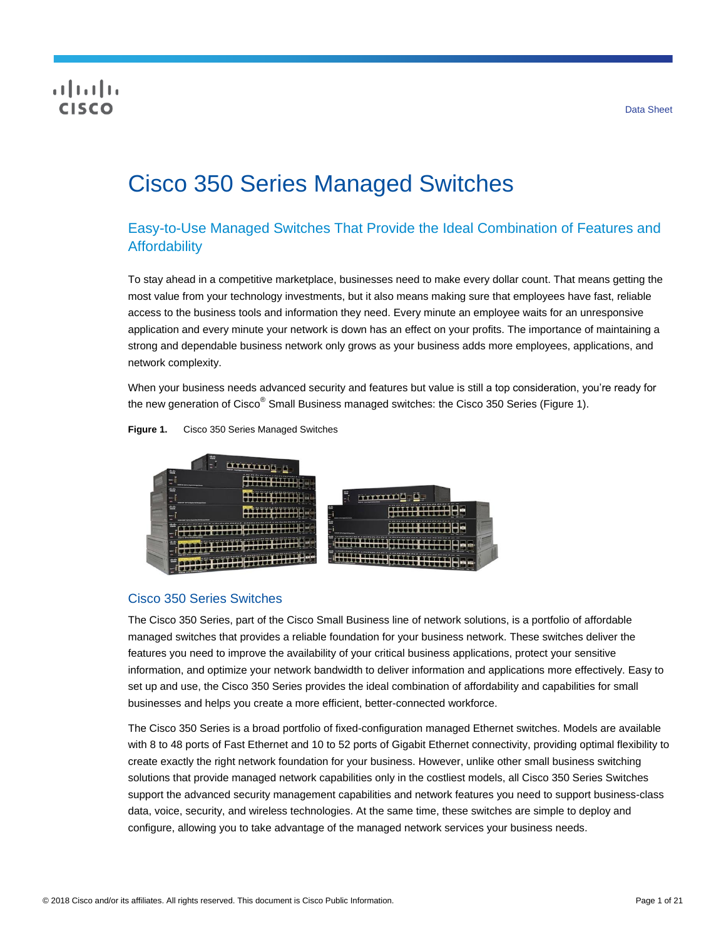## **CISCO**

# Cisco 350 Series Managed Switches

## Easy-to-Use Managed Switches That Provide the Ideal Combination of Features and **Affordability**

To stay ahead in a competitive marketplace, businesses need to make every dollar count. That means getting the most value from your technology investments, but it also means making sure that employees have fast, reliable access to the business tools and information they need. Every minute an employee waits for an unresponsive application and every minute your network is down has an effect on your profits. The importance of maintaining a strong and dependable business network only grows as your business adds more employees, applications, and network complexity.

When your business needs advanced security and features but value is still a top consideration, you're ready for the new generation of Cisco<sup>®</sup> Small Business managed switches: the Cisco 350 Series (Figure 1).





#### Cisco 350 Series Switches

The Cisco 350 Series, part of the Cisco Small Business line of network solutions, is a portfolio of affordable managed switches that provides a reliable foundation for your business network. These switches deliver the features you need to improve the availability of your critical business applications, protect your sensitive information, and optimize your network bandwidth to deliver information and applications more effectively. Easy to set up and use, the Cisco 350 Series provides the ideal combination of affordability and capabilities for small businesses and helps you create a more efficient, better-connected workforce.

The Cisco 350 Series is a broad portfolio of fixed-configuration managed Ethernet switches. Models are available with 8 to 48 ports of Fast Ethernet and 10 to 52 ports of Gigabit Ethernet connectivity, providing optimal flexibility to create exactly the right network foundation for your business. However, unlike other small business switching solutions that provide managed network capabilities only in the costliest models, all Cisco 350 Series Switches support the advanced security management capabilities and network features you need to support business-class data, voice, security, and wireless technologies. At the same time, these switches are simple to deploy and configure, allowing you to take advantage of the managed network services your business needs.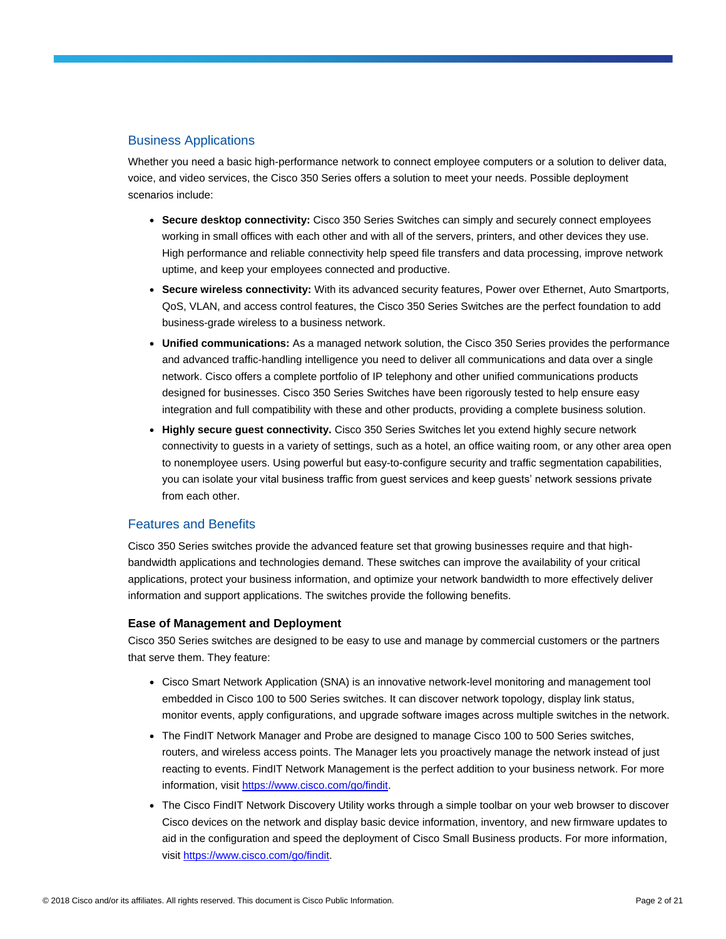#### Business Applications

Whether you need a basic high-performance network to connect employee computers or a solution to deliver data, voice, and video services, the Cisco 350 Series offers a solution to meet your needs. Possible deployment scenarios include:

- **Secure desktop connectivity:** Cisco 350 Series Switches can simply and securely connect employees working in small offices with each other and with all of the servers, printers, and other devices they use. High performance and reliable connectivity help speed file transfers and data processing, improve network uptime, and keep your employees connected and productive.
- **Secure wireless connectivity:** With its advanced security features, Power over Ethernet, Auto Smartports, QoS, VLAN, and access control features, the Cisco 350 Series Switches are the perfect foundation to add business-grade wireless to a business network.
- **Unified communications:** As a managed network solution, the Cisco 350 Series provides the performance and advanced traffic-handling intelligence you need to deliver all communications and data over a single network. Cisco offers a complete portfolio of IP telephony and other unified communications products designed for businesses. Cisco 350 Series Switches have been rigorously tested to help ensure easy integration and full compatibility with these and other products, providing a complete business solution.
- **Highly secure guest connectivity.** Cisco 350 Series Switches let you extend highly secure network connectivity to guests in a variety of settings, such as a hotel, an office waiting room, or any other area open to nonemployee users. Using powerful but easy-to-configure security and traffic segmentation capabilities, you can isolate your vital business traffic from guest services and keep guests' network sessions private from each other.

#### Features and Benefits

Cisco 350 Series switches provide the advanced feature set that growing businesses require and that highbandwidth applications and technologies demand. These switches can improve the availability of your critical applications, protect your business information, and optimize your network bandwidth to more effectively deliver information and support applications. The switches provide the following benefits.

#### **Ease of Management and Deployment**

Cisco 350 Series switches are designed to be easy to use and manage by commercial customers or the partners that serve them. They feature:

- Cisco Smart Network Application (SNA) is an innovative network-level monitoring and management tool embedded in Cisco 100 to 500 Series switches. It can discover network topology, display link status, monitor events, apply configurations, and upgrade software images across multiple switches in the network.
- The FindIT Network Manager and Probe are designed to manage Cisco 100 to 500 Series switches, routers, and wireless access points. The Manager lets you proactively manage the network instead of just reacting to events. FindIT Network Management is the perfect addition to your business network. For more information, visit [https://www.cisco.com/go/findit.](https://www.cisco.com/go/findit)
- The Cisco FindIT Network Discovery Utility works through a simple toolbar on your web browser to discover Cisco devices on the network and display basic device information, inventory, and new firmware updates to aid in the configuration and speed the deployment of Cisco Small Business products. For more information, visit [https://www.cisco.com/go/findit.](https://www.cisco.com/go/findit)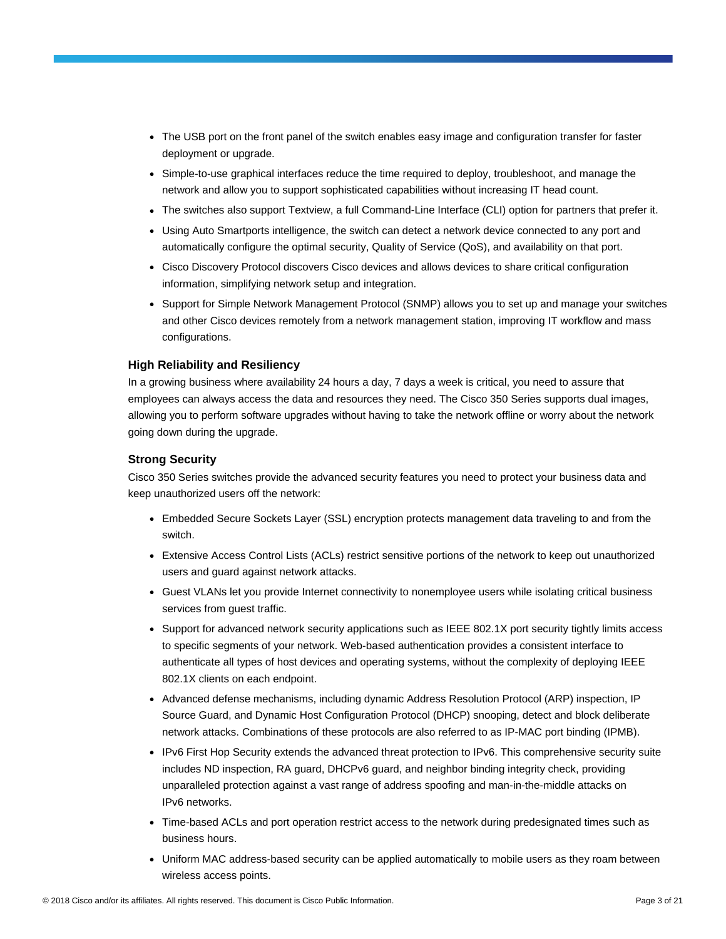- The USB port on the front panel of the switch enables easy image and configuration transfer for faster deployment or upgrade.
- Simple-to-use graphical interfaces reduce the time required to deploy, troubleshoot, and manage the network and allow you to support sophisticated capabilities without increasing IT head count.
- The switches also support Textview, a full Command-Line Interface (CLI) option for partners that prefer it.
- Using Auto Smartports intelligence, the switch can detect a network device connected to any port and automatically configure the optimal security, Quality of Service (QoS), and availability on that port.
- Cisco Discovery Protocol discovers Cisco devices and allows devices to share critical configuration information, simplifying network setup and integration.
- Support for Simple Network Management Protocol (SNMP) allows you to set up and manage your switches and other Cisco devices remotely from a network management station, improving IT workflow and mass configurations.

#### **High Reliability and Resiliency**

In a growing business where availability 24 hours a day, 7 days a week is critical, you need to assure that employees can always access the data and resources they need. The Cisco 350 Series supports dual images, allowing you to perform software upgrades without having to take the network offline or worry about the network going down during the upgrade.

#### **Strong Security**

Cisco 350 Series switches provide the advanced security features you need to protect your business data and keep unauthorized users off the network:

- Embedded Secure Sockets Layer (SSL) encryption protects management data traveling to and from the switch.
- Extensive Access Control Lists (ACLs) restrict sensitive portions of the network to keep out unauthorized users and guard against network attacks.
- Guest VLANs let you provide Internet connectivity to nonemployee users while isolating critical business services from guest traffic.
- Support for advanced network security applications such as IEEE 802.1X port security tightly limits access to specific segments of your network. Web-based authentication provides a consistent interface to authenticate all types of host devices and operating systems, without the complexity of deploying IEEE 802.1X clients on each endpoint.
- Advanced defense mechanisms, including dynamic Address Resolution Protocol (ARP) inspection, IP Source Guard, and Dynamic Host Configuration Protocol (DHCP) snooping, detect and block deliberate network attacks. Combinations of these protocols are also referred to as IP-MAC port binding (IPMB).
- IPv6 First Hop Security extends the advanced threat protection to IPv6. This comprehensive security suite includes ND inspection, RA guard, DHCPv6 guard, and neighbor binding integrity check, providing unparalleled protection against a vast range of address spoofing and man-in-the-middle attacks on IPv6 networks.
- Time-based ACLs and port operation restrict access to the network during predesignated times such as business hours.
- Uniform MAC address-based security can be applied automatically to mobile users as they roam between wireless access points.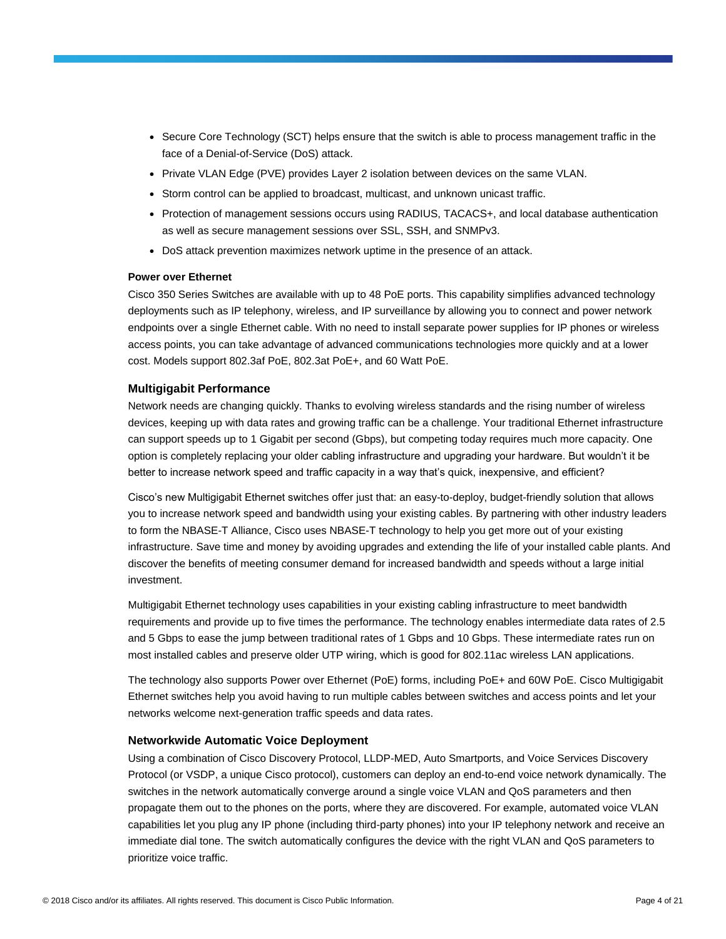- Secure Core Technology (SCT) helps ensure that the switch is able to process management traffic in the face of a Denial-of-Service (DoS) attack.
- Private VLAN Edge (PVE) provides Layer 2 isolation between devices on the same VLAN.
- Storm control can be applied to broadcast, multicast, and unknown unicast traffic.
- Protection of management sessions occurs using RADIUS, TACACS+, and local database authentication as well as secure management sessions over SSL, SSH, and SNMPv3.
- DoS attack prevention maximizes network uptime in the presence of an attack.

#### **Power over Ethernet**

Cisco 350 Series Switches are available with up to 48 PoE ports. This capability simplifies advanced technology deployments such as IP telephony, wireless, and IP surveillance by allowing you to connect and power network endpoints over a single Ethernet cable. With no need to install separate power supplies for IP phones or wireless access points, you can take advantage of advanced communications technologies more quickly and at a lower cost. Models support 802.3af PoE, 802.3at PoE+, and 60 Watt PoE.

#### **Multigigabit Performance**

Network needs are changing quickly. Thanks to evolving wireless standards and the rising number of wireless devices, keeping up with data rates and growing traffic can be a challenge. Your traditional Ethernet infrastructure can support speeds up to 1 Gigabit per second (Gbps), but competing today requires much more capacity. One option is completely replacing your older cabling infrastructure and upgrading your hardware. But wouldn't it be better to increase network speed and traffic capacity in a way that's quick, inexpensive, and efficient?

Cisco's new Multigigabit Ethernet switches offer just that: an easy-to-deploy, budget-friendly solution that allows you to increase network speed and bandwidth using your existing cables. By partnering with other industry leaders to form the NBASE-T Alliance, Cisco uses NBASE-T technology to help you get more out of your existing infrastructure. Save time and money by avoiding upgrades and extending the life of your installed cable plants. And discover the benefits of meeting consumer demand for increased bandwidth and speeds without a large initial investment.

Multigigabit Ethernet technology uses capabilities in your existing cabling infrastructure to meet bandwidth requirements and provide up to five times the performance. The technology enables intermediate data rates of 2.5 and 5 Gbps to ease the jump between traditional rates of 1 Gbps and 10 Gbps. These intermediate rates run on most installed cables and preserve older UTP wiring, which is good for 802.11ac wireless LAN applications.

The technology also supports Power over Ethernet (PoE) forms, including PoE+ and 60W PoE. Cisco Multigigabit Ethernet switches help you avoid having to run multiple cables between switches and access points and let your networks welcome next-generation traffic speeds and data rates.

#### **Networkwide Automatic Voice Deployment**

Using a combination of Cisco Discovery Protocol, LLDP-MED, Auto Smartports, and Voice Services Discovery Protocol (or VSDP, a unique Cisco protocol), customers can deploy an end-to-end voice network dynamically. The switches in the network automatically converge around a single voice VLAN and QoS parameters and then propagate them out to the phones on the ports, where they are discovered. For example, automated voice VLAN capabilities let you plug any IP phone (including third-party phones) into your IP telephony network and receive an immediate dial tone. The switch automatically configures the device with the right VLAN and QoS parameters to prioritize voice traffic.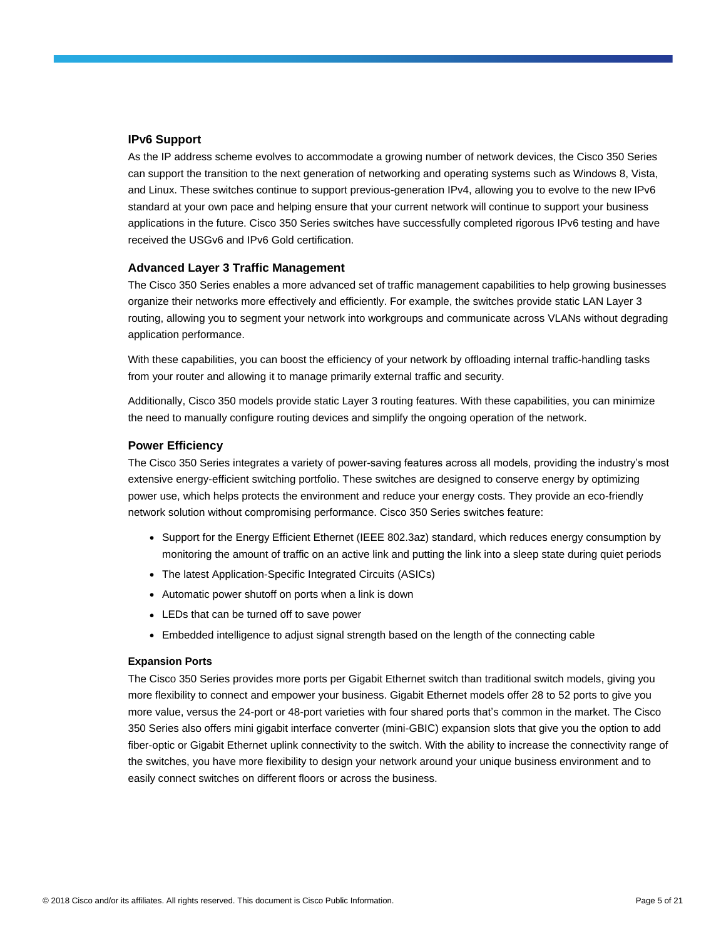#### **IPv6 Support**

As the IP address scheme evolves to accommodate a growing number of network devices, the Cisco 350 Series can support the transition to the next generation of networking and operating systems such as Windows 8, Vista, and Linux. These switches continue to support previous-generation IPv4, allowing you to evolve to the new IPv6 standard at your own pace and helping ensure that your current network will continue to support your business applications in the future. Cisco 350 Series switches have successfully completed rigorous IPv6 testing and have received the USGv6 and IPv6 Gold certification.

#### **Advanced Layer 3 Traffic Management**

The Cisco 350 Series enables a more advanced set of traffic management capabilities to help growing businesses organize their networks more effectively and efficiently. For example, the switches provide static LAN Layer 3 routing, allowing you to segment your network into workgroups and communicate across VLANs without degrading application performance.

With these capabilities, you can boost the efficiency of your network by offloading internal traffic-handling tasks from your router and allowing it to manage primarily external traffic and security.

Additionally, Cisco 350 models provide static Layer 3 routing features. With these capabilities, you can minimize the need to manually configure routing devices and simplify the ongoing operation of the network.

#### **Power Efficiency**

The Cisco 350 Series integrates a variety of power-saving features across all models, providing the industry's most extensive energy-efficient switching portfolio. These switches are designed to conserve energy by optimizing power use, which helps protects the environment and reduce your energy costs. They provide an eco-friendly network solution without compromising performance. Cisco 350 Series switches feature:

- Support for the Energy Efficient Ethernet (IEEE 802.3az) standard, which reduces energy consumption by monitoring the amount of traffic on an active link and putting the link into a sleep state during quiet periods
- The latest Application-Specific Integrated Circuits (ASICs)
- Automatic power shutoff on ports when a link is down
- LEDs that can be turned off to save power
- Embedded intelligence to adjust signal strength based on the length of the connecting cable

#### **Expansion Ports**

The Cisco 350 Series provides more ports per Gigabit Ethernet switch than traditional switch models, giving you more flexibility to connect and empower your business. Gigabit Ethernet models offer 28 to 52 ports to give you more value, versus the 24-port or 48-port varieties with four shared ports that's common in the market. The Cisco 350 Series also offers mini gigabit interface converter (mini-GBIC) expansion slots that give you the option to add fiber-optic or Gigabit Ethernet uplink connectivity to the switch. With the ability to increase the connectivity range of the switches, you have more flexibility to design your network around your unique business environment and to easily connect switches on different floors or across the business.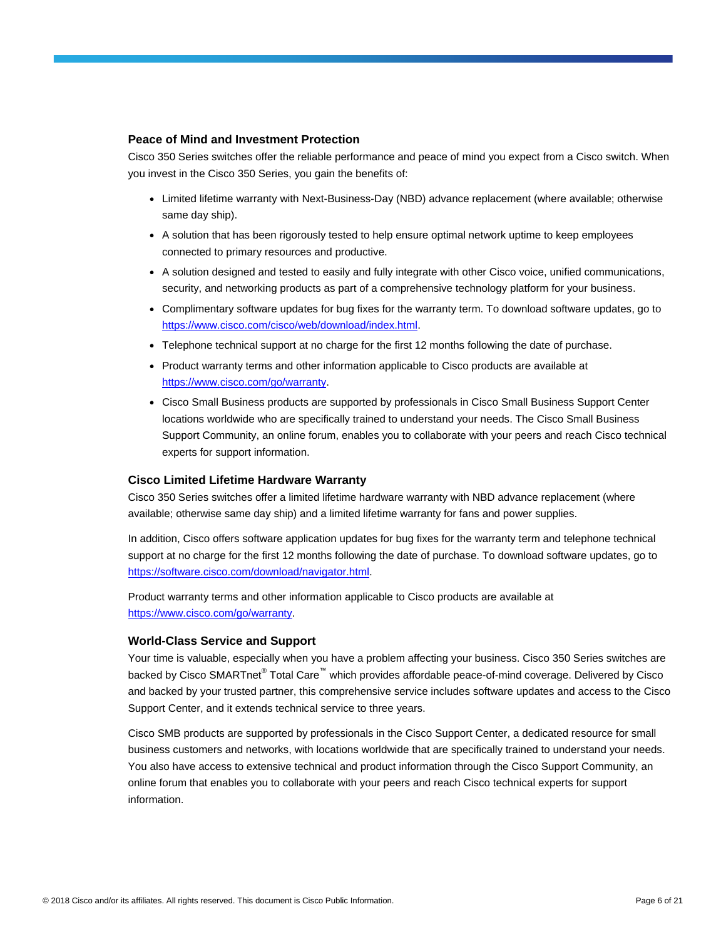#### **Peace of Mind and Investment Protection**

Cisco 350 Series switches offer the reliable performance and peace of mind you expect from a Cisco switch. When you invest in the Cisco 350 Series, you gain the benefits of:

- Limited lifetime warranty with Next-Business-Day (NBD) advance replacement (where available; otherwise same day ship).
- A solution that has been rigorously tested to help ensure optimal network uptime to keep employees connected to primary resources and productive.
- A solution designed and tested to easily and fully integrate with other Cisco voice, unified communications, security, and networking products as part of a comprehensive technology platform for your business.
- Complimentary software updates for bug fixes for the warranty term. To download software updates, go to [https://www.cisco.com/cisco/web/download/index.html.](https://www.cisco.com/cisco/web/download/index.html)
- Telephone technical support at no charge for the first 12 months following the date of purchase.
- Product warranty terms and other information applicable to Cisco products are available at [https://www.cisco.com/go/warranty.](https://www.cisco.com/go/warranty)
- Cisco Small Business products are supported by professionals in Cisco Small Business Support Center locations worldwide who are specifically trained to understand your needs. The Cisco Small Business Support Community, an online forum, enables you to collaborate with your peers and reach Cisco technical experts for support information.

#### **Cisco Limited Lifetime Hardware Warranty**

Cisco 350 Series switches offer a limited lifetime hardware warranty with NBD advance replacement (where available; otherwise same day ship) and a limited lifetime warranty for fans and power supplies.

In addition, Cisco offers software application updates for bug fixes for the warranty term and telephone technical support at no charge for the first 12 months following the date of purchase. To download software updates, go to [https://software.cisco.com/download/navigator.html.](https://software.cisco.com/download/navigator.html)

Product warranty terms and other information applicable to Cisco products are available at [https://www.cisco.com/go/warranty.](https://www.cisco.com/go/warranty)

#### **World-Class Service and Support**

Your time is valuable, especially when you have a problem affecting your business. Cisco 350 Series switches are backed by Cisco SMARTnet® Total Care™ which provides affordable peace-of-mind coverage. Delivered by Cisco and backed by your trusted partner, this comprehensive service includes software updates and access to the Cisco Support Center, and it extends technical service to three years.

Cisco SMB products are supported by professionals in the Cisco Support Center, a dedicated resource for small business customers and networks, with locations worldwide that are specifically trained to understand your needs. You also have access to extensive technical and product information through the Cisco Support Community, an online forum that enables you to collaborate with your peers and reach Cisco technical experts for support information.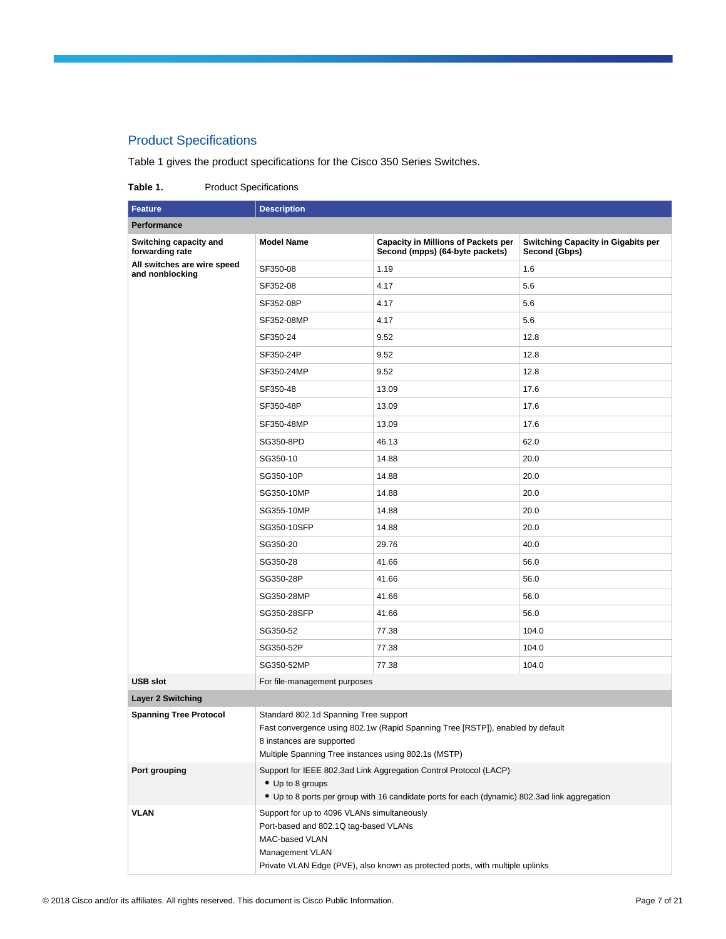### Product Specifications

Table 1 gives the product specifications for the Cisco 350 Series Switches.

#### Table 1. Product Specifications

| <b>Feature</b>                                 | <b>Description</b>                                                                                                                                                                                         |                                                                                                                                                                    |                                                            |  |  |  |  |
|------------------------------------------------|------------------------------------------------------------------------------------------------------------------------------------------------------------------------------------------------------------|--------------------------------------------------------------------------------------------------------------------------------------------------------------------|------------------------------------------------------------|--|--|--|--|
| Performance                                    |                                                                                                                                                                                                            |                                                                                                                                                                    |                                                            |  |  |  |  |
| Switching capacity and<br>forwarding rate      | <b>Model Name</b>                                                                                                                                                                                          | <b>Capacity in Millions of Packets per</b><br>Second (mpps) (64-byte packets)                                                                                      | <b>Switching Capacity in Gigabits per</b><br>Second (Gbps) |  |  |  |  |
| All switches are wire speed<br>and nonblocking | SF350-08                                                                                                                                                                                                   | 1.19                                                                                                                                                               | 1.6                                                        |  |  |  |  |
|                                                | SF352-08                                                                                                                                                                                                   | 4.17                                                                                                                                                               | 5.6                                                        |  |  |  |  |
|                                                | SF352-08P                                                                                                                                                                                                  | 4.17                                                                                                                                                               | 5.6                                                        |  |  |  |  |
|                                                | SF352-08MP                                                                                                                                                                                                 | 4.17                                                                                                                                                               | 5.6                                                        |  |  |  |  |
|                                                | SF350-24                                                                                                                                                                                                   | 9.52                                                                                                                                                               | 12.8                                                       |  |  |  |  |
|                                                | SF350-24P                                                                                                                                                                                                  | 9.52                                                                                                                                                               | 12.8                                                       |  |  |  |  |
|                                                | SF350-24MP                                                                                                                                                                                                 | 9.52                                                                                                                                                               | 12.8                                                       |  |  |  |  |
|                                                | SF350-48                                                                                                                                                                                                   | 13.09                                                                                                                                                              | 17.6                                                       |  |  |  |  |
|                                                | SF350-48P                                                                                                                                                                                                  | 13.09                                                                                                                                                              | 17.6                                                       |  |  |  |  |
|                                                | SF350-48MP                                                                                                                                                                                                 | 13.09                                                                                                                                                              | 17.6                                                       |  |  |  |  |
|                                                | SG350-8PD                                                                                                                                                                                                  | 46.13                                                                                                                                                              | 62.0                                                       |  |  |  |  |
|                                                | SG350-10                                                                                                                                                                                                   | 14.88                                                                                                                                                              | 20.0                                                       |  |  |  |  |
|                                                | SG350-10P                                                                                                                                                                                                  | 14.88                                                                                                                                                              | 20.0                                                       |  |  |  |  |
|                                                | SG350-10MP                                                                                                                                                                                                 | 14.88                                                                                                                                                              | 20.0                                                       |  |  |  |  |
|                                                | SG355-10MP                                                                                                                                                                                                 | 14.88                                                                                                                                                              | 20.0                                                       |  |  |  |  |
|                                                | SG350-10SFP                                                                                                                                                                                                | 14.88                                                                                                                                                              | 20.0                                                       |  |  |  |  |
|                                                | SG350-20                                                                                                                                                                                                   | 29.76                                                                                                                                                              | 40.0                                                       |  |  |  |  |
|                                                | SG350-28                                                                                                                                                                                                   | 41.66                                                                                                                                                              | 56.0                                                       |  |  |  |  |
|                                                | SG350-28P                                                                                                                                                                                                  | 41.66                                                                                                                                                              | 56.0                                                       |  |  |  |  |
|                                                | SG350-28MP                                                                                                                                                                                                 | 41.66                                                                                                                                                              | 56.0                                                       |  |  |  |  |
|                                                | SG350-28SFP                                                                                                                                                                                                | 41.66                                                                                                                                                              | 56.0                                                       |  |  |  |  |
|                                                | SG350-52                                                                                                                                                                                                   | 77.38                                                                                                                                                              | 104.0                                                      |  |  |  |  |
|                                                | SG350-52P                                                                                                                                                                                                  | 77.38                                                                                                                                                              | 104.0                                                      |  |  |  |  |
|                                                | SG350-52MP                                                                                                                                                                                                 | 77.38                                                                                                                                                              | 104.0                                                      |  |  |  |  |
| <b>USB slot</b>                                | For file-management purposes                                                                                                                                                                               |                                                                                                                                                                    |                                                            |  |  |  |  |
| <b>Layer 2 Switching</b>                       |                                                                                                                                                                                                            |                                                                                                                                                                    |                                                            |  |  |  |  |
| <b>Spanning Tree Protocol</b>                  | Standard 802.1d Spanning Tree support<br>8 instances are supported<br>Multiple Spanning Tree instances using 802.1s (MSTP)                                                                                 | Fast convergence using 802.1w (Rapid Spanning Tree [RSTP]), enabled by default                                                                                     |                                                            |  |  |  |  |
| Port grouping                                  | • Up to 8 groups                                                                                                                                                                                           | Support for IEEE 802.3ad Link Aggregation Control Protocol (LACP)<br>• Up to 8 ports per group with 16 candidate ports for each (dynamic) 802.3ad link aggregation |                                                            |  |  |  |  |
| <b>VLAN</b>                                    | Support for up to 4096 VLANs simultaneously<br>Port-based and 802.1Q tag-based VLANs<br>MAC-based VLAN<br>Management VLAN<br>Private VLAN Edge (PVE), also known as protected ports, with multiple uplinks |                                                                                                                                                                    |                                                            |  |  |  |  |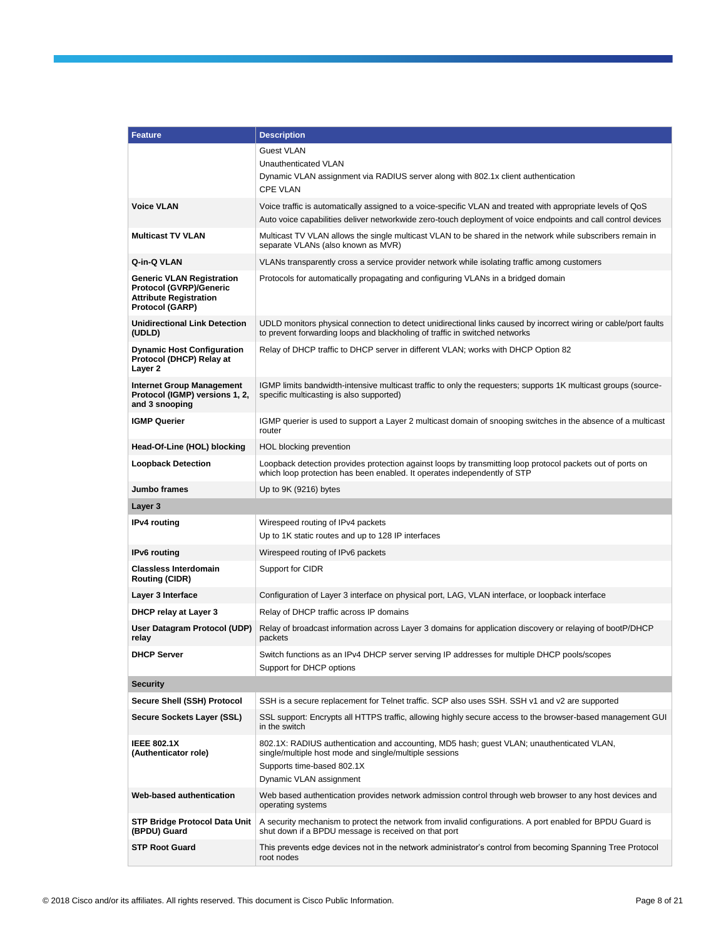| <b>Feature</b>                                                                                                                | <b>Description</b>                                                                                                                                                                                           |
|-------------------------------------------------------------------------------------------------------------------------------|--------------------------------------------------------------------------------------------------------------------------------------------------------------------------------------------------------------|
|                                                                                                                               | <b>Guest VLAN</b>                                                                                                                                                                                            |
|                                                                                                                               | Unauthenticated VLAN                                                                                                                                                                                         |
|                                                                                                                               | Dynamic VLAN assignment via RADIUS server along with 802.1x client authentication<br><b>CPE VLAN</b>                                                                                                         |
| <b>Voice VLAN</b>                                                                                                             | Voice traffic is automatically assigned to a voice-specific VLAN and treated with appropriate levels of QoS                                                                                                  |
|                                                                                                                               | Auto voice capabilities deliver networkwide zero-touch deployment of voice endpoints and call control devices                                                                                                |
| <b>Multicast TV VLAN</b>                                                                                                      | Multicast TV VLAN allows the single multicast VLAN to be shared in the network while subscribers remain in<br>separate VLANs (also known as MVR)                                                             |
| Q-in-Q VLAN                                                                                                                   | VLANs transparently cross a service provider network while isolating traffic among customers                                                                                                                 |
| <b>Generic VLAN Registration</b><br><b>Protocol (GVRP)/Generic</b><br><b>Attribute Registration</b><br><b>Protocol (GARP)</b> | Protocols for automatically propagating and configuring VLANs in a bridged domain                                                                                                                            |
| <b>Unidirectional Link Detection</b><br>(UDLD)                                                                                | UDLD monitors physical connection to detect unidirectional links caused by incorrect wiring or cable/port faults<br>to prevent forwarding loops and blackholing of traffic in switched networks              |
| <b>Dynamic Host Configuration</b><br>Protocol (DHCP) Relay at<br>Layer 2                                                      | Relay of DHCP traffic to DHCP server in different VLAN; works with DHCP Option 82                                                                                                                            |
| <b>Internet Group Management</b><br>Protocol (IGMP) versions 1, 2,<br>and 3 snooping                                          | IGMP limits bandwidth-intensive multicast traffic to only the requesters; supports 1K multicast groups (source-<br>specific multicasting is also supported)                                                  |
| <b>IGMP Querier</b>                                                                                                           | IGMP querier is used to support a Layer 2 multicast domain of snooping switches in the absence of a multicast<br>router                                                                                      |
| Head-Of-Line (HOL) blocking                                                                                                   | HOL blocking prevention                                                                                                                                                                                      |
| <b>Loopback Detection</b>                                                                                                     | Loopback detection provides protection against loops by transmitting loop protocol packets out of ports on<br>which loop protection has been enabled. It operates independently of STP                       |
| Jumbo frames                                                                                                                  | Up to 9K (9216) bytes                                                                                                                                                                                        |
|                                                                                                                               |                                                                                                                                                                                                              |
| Layer 3                                                                                                                       |                                                                                                                                                                                                              |
| <b>IPv4</b> routing                                                                                                           | Wirespeed routing of IPv4 packets<br>Up to 1K static routes and up to 128 IP interfaces                                                                                                                      |
| IPv6 routing                                                                                                                  | Wirespeed routing of IPv6 packets                                                                                                                                                                            |
| <b>Classless Interdomain</b><br><b>Routing (CIDR)</b>                                                                         | Support for CIDR                                                                                                                                                                                             |
| Layer 3 Interface                                                                                                             | Configuration of Layer 3 interface on physical port, LAG, VLAN interface, or loopback interface                                                                                                              |
| <b>DHCP relay at Layer 3</b>                                                                                                  | Relay of DHCP traffic across IP domains                                                                                                                                                                      |
| User Datagram Protocol (UDP)<br>relay                                                                                         | Relay of broadcast information across Layer 3 domains for application discovery or relaying of bootP/DHCP<br>packets                                                                                         |
| <b>DHCP Server</b>                                                                                                            | Switch functions as an IPv4 DHCP server serving IP addresses for multiple DHCP pools/scopes<br>Support for DHCP options                                                                                      |
| <b>Security</b>                                                                                                               |                                                                                                                                                                                                              |
| Secure Shell (SSH) Protocol                                                                                                   | SSH is a secure replacement for Telnet traffic. SCP also uses SSH. SSH v1 and v2 are supported                                                                                                               |
| Secure Sockets Layer (SSL)                                                                                                    | SSL support: Encrypts all HTTPS traffic, allowing highly secure access to the browser-based management GUI<br>in the switch                                                                                  |
| <b>IEEE 802.1X</b><br>(Authenticator role)                                                                                    | 802.1X: RADIUS authentication and accounting, MD5 hash; guest VLAN; unauthenticated VLAN,<br>single/multiple host mode and single/multiple sessions<br>Supports time-based 802.1X<br>Dynamic VLAN assignment |
| Web-based authentication                                                                                                      | Web based authentication provides network admission control through web browser to any host devices and<br>operating systems                                                                                 |
| <b>STP Bridge Protocol Data Unit</b><br>(BPDU) Guard                                                                          | A security mechanism to protect the network from invalid configurations. A port enabled for BPDU Guard is<br>shut down if a BPDU message is received on that port                                            |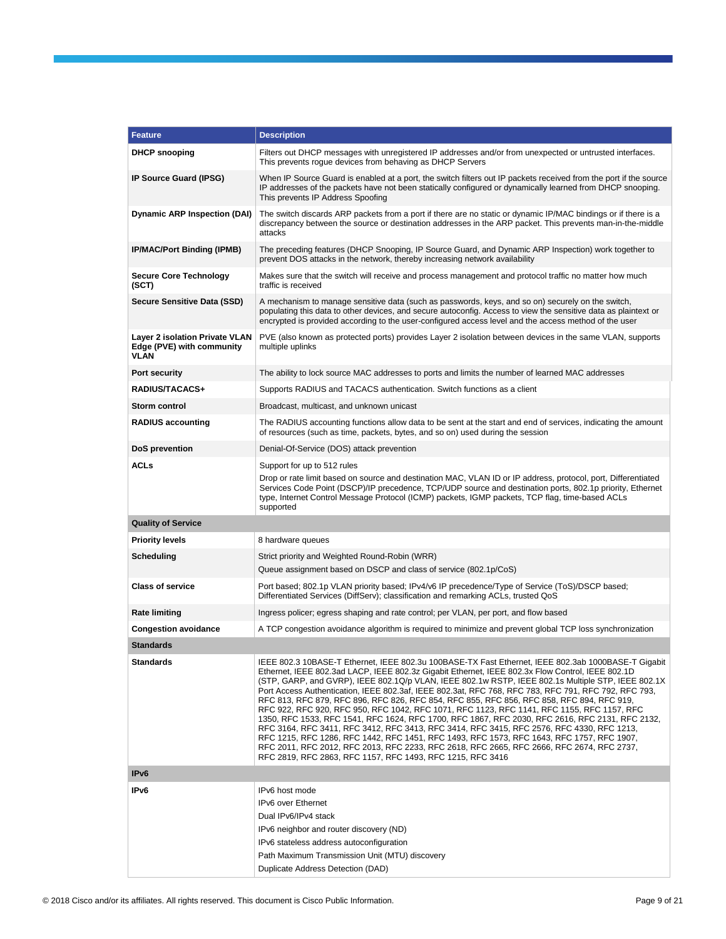| <b>Feature</b>                                                                    | <b>Description</b>                                                                                                                                                                                                                                                                                                                                                                                                                                                                                                                                                                                                                                                                                                                                                                                                                                                                                                                                                                                                                                                       |
|-----------------------------------------------------------------------------------|--------------------------------------------------------------------------------------------------------------------------------------------------------------------------------------------------------------------------------------------------------------------------------------------------------------------------------------------------------------------------------------------------------------------------------------------------------------------------------------------------------------------------------------------------------------------------------------------------------------------------------------------------------------------------------------------------------------------------------------------------------------------------------------------------------------------------------------------------------------------------------------------------------------------------------------------------------------------------------------------------------------------------------------------------------------------------|
| <b>DHCP snooping</b>                                                              | Filters out DHCP messages with unregistered IP addresses and/or from unexpected or untrusted interfaces.<br>This prevents roque devices from behaving as DHCP Servers                                                                                                                                                                                                                                                                                                                                                                                                                                                                                                                                                                                                                                                                                                                                                                                                                                                                                                    |
| IP Source Guard (IPSG)                                                            | When IP Source Guard is enabled at a port, the switch filters out IP packets received from the port if the source<br>IP addresses of the packets have not been statically configured or dynamically learned from DHCP snooping.<br>This prevents IP Address Spoofing                                                                                                                                                                                                                                                                                                                                                                                                                                                                                                                                                                                                                                                                                                                                                                                                     |
| <b>Dynamic ARP Inspection (DAI)</b>                                               | The switch discards ARP packets from a port if there are no static or dynamic IP/MAC bindings or if there is a<br>discrepancy between the source or destination addresses in the ARP packet. This prevents man-in-the-middle<br>attacks                                                                                                                                                                                                                                                                                                                                                                                                                                                                                                                                                                                                                                                                                                                                                                                                                                  |
| <b>IP/MAC/Port Binding (IPMB)</b>                                                 | The preceding features (DHCP Snooping, IP Source Guard, and Dynamic ARP Inspection) work together to<br>prevent DOS attacks in the network, thereby increasing network availability                                                                                                                                                                                                                                                                                                                                                                                                                                                                                                                                                                                                                                                                                                                                                                                                                                                                                      |
| <b>Secure Core Technology</b><br>(SCT)                                            | Makes sure that the switch will receive and process management and protocol traffic no matter how much<br>traffic is received                                                                                                                                                                                                                                                                                                                                                                                                                                                                                                                                                                                                                                                                                                                                                                                                                                                                                                                                            |
| <b>Secure Sensitive Data (SSD)</b>                                                | A mechanism to manage sensitive data (such as passwords, keys, and so on) securely on the switch,<br>populating this data to other devices, and secure autoconfig. Access to view the sensitive data as plaintext or<br>encrypted is provided according to the user-configured access level and the access method of the user                                                                                                                                                                                                                                                                                                                                                                                                                                                                                                                                                                                                                                                                                                                                            |
| <b>Layer 2 isolation Private VLAN</b><br>Edge (PVE) with community<br><b>VLAN</b> | PVE (also known as protected ports) provides Layer 2 isolation between devices in the same VLAN, supports<br>multiple uplinks                                                                                                                                                                                                                                                                                                                                                                                                                                                                                                                                                                                                                                                                                                                                                                                                                                                                                                                                            |
| <b>Port security</b>                                                              | The ability to lock source MAC addresses to ports and limits the number of learned MAC addresses                                                                                                                                                                                                                                                                                                                                                                                                                                                                                                                                                                                                                                                                                                                                                                                                                                                                                                                                                                         |
| RADIUS/TACACS+                                                                    | Supports RADIUS and TACACS authentication. Switch functions as a client                                                                                                                                                                                                                                                                                                                                                                                                                                                                                                                                                                                                                                                                                                                                                                                                                                                                                                                                                                                                  |
| Storm control                                                                     | Broadcast, multicast, and unknown unicast                                                                                                                                                                                                                                                                                                                                                                                                                                                                                                                                                                                                                                                                                                                                                                                                                                                                                                                                                                                                                                |
| <b>RADIUS accounting</b>                                                          | The RADIUS accounting functions allow data to be sent at the start and end of services, indicating the amount<br>of resources (such as time, packets, bytes, and so on) used during the session                                                                                                                                                                                                                                                                                                                                                                                                                                                                                                                                                                                                                                                                                                                                                                                                                                                                          |
| DoS prevention                                                                    | Denial-Of-Service (DOS) attack prevention                                                                                                                                                                                                                                                                                                                                                                                                                                                                                                                                                                                                                                                                                                                                                                                                                                                                                                                                                                                                                                |
| <b>ACLs</b>                                                                       | Support for up to 512 rules                                                                                                                                                                                                                                                                                                                                                                                                                                                                                                                                                                                                                                                                                                                                                                                                                                                                                                                                                                                                                                              |
|                                                                                   | Drop or rate limit based on source and destination MAC, VLAN ID or IP address, protocol, port, Differentiated<br>Services Code Point (DSCP)/IP precedence, TCP/UDP source and destination ports, 802.1p priority, Ethernet<br>type, Internet Control Message Protocol (ICMP) packets, IGMP packets, TCP flag, time-based ACLs<br>supported                                                                                                                                                                                                                                                                                                                                                                                                                                                                                                                                                                                                                                                                                                                               |
| <b>Quality of Service</b>                                                         |                                                                                                                                                                                                                                                                                                                                                                                                                                                                                                                                                                                                                                                                                                                                                                                                                                                                                                                                                                                                                                                                          |
| <b>Priority levels</b>                                                            | 8 hardware queues                                                                                                                                                                                                                                                                                                                                                                                                                                                                                                                                                                                                                                                                                                                                                                                                                                                                                                                                                                                                                                                        |
| Scheduling                                                                        | Strict priority and Weighted Round-Robin (WRR)                                                                                                                                                                                                                                                                                                                                                                                                                                                                                                                                                                                                                                                                                                                                                                                                                                                                                                                                                                                                                           |
|                                                                                   | Queue assignment based on DSCP and class of service (802.1p/CoS)                                                                                                                                                                                                                                                                                                                                                                                                                                                                                                                                                                                                                                                                                                                                                                                                                                                                                                                                                                                                         |
| <b>Class of service</b>                                                           | Port based; 802.1p VLAN priority based; IPv4/v6 IP precedence/Type of Service (ToS)/DSCP based;<br>Differentiated Services (DiffServ); classification and remarking ACLs, trusted QoS                                                                                                                                                                                                                                                                                                                                                                                                                                                                                                                                                                                                                                                                                                                                                                                                                                                                                    |
| <b>Rate limiting</b>                                                              | Ingress policer; egress shaping and rate control; per VLAN, per port, and flow based                                                                                                                                                                                                                                                                                                                                                                                                                                                                                                                                                                                                                                                                                                                                                                                                                                                                                                                                                                                     |
| <b>Congestion avoidance</b>                                                       | A TCP congestion avoidance algorithm is required to minimize and prevent global TCP loss synchronization                                                                                                                                                                                                                                                                                                                                                                                                                                                                                                                                                                                                                                                                                                                                                                                                                                                                                                                                                                 |
| <b>Standards</b>                                                                  |                                                                                                                                                                                                                                                                                                                                                                                                                                                                                                                                                                                                                                                                                                                                                                                                                                                                                                                                                                                                                                                                          |
| Standards                                                                         | IEEE 802.3 10BASE-T Ethernet, IEEE 802.3u 100BASE-TX Fast Ethernet, IEEE 802.3ab 1000BASE-T Gigabit<br>Ethernet, IEEE 802.3ad LACP, IEEE 802.3z Gigabit Ethernet, IEEE 802.3x Flow Control, IEEE 802.1D<br>(STP, GARP, and GVRP), IEEE 802.1Q/p VLAN, IEEE 802.1w RSTP, IEEE 802.1s Multiple STP, IEEE 802.1X<br>Port Access Authentication, IEEE 802.3af, IEEE 802.3at, RFC 768, RFC 783, RFC 791, RFC 792, RFC 793,<br>RFC 813, RFC 879, RFC 896, RFC 826, RFC 854, RFC 855, RFC 856, RFC 858, RFC 894, RFC 919,<br>RFC 922, RFC 920, RFC 950, RFC 1042, RFC 1071, RFC 1123, RFC 1141, RFC 1155, RFC 1157, RFC<br>1350, RFC 1533, RFC 1541, RFC 1624, RFC 1700, RFC 1867, RFC 2030, RFC 2616, RFC 2131, RFC 2132,<br>RFC 3164, RFC 3411, RFC 3412, RFC 3413, RFC 3414, RFC 3415, RFC 2576, RFC 4330, RFC 1213,<br>RFC 1215, RFC 1286, RFC 1442, RFC 1451, RFC 1493, RFC 1573, RFC 1643, RFC 1757, RFC 1907,<br>RFC 2011, RFC 2012, RFC 2013, RFC 2233, RFC 2618, RFC 2665, RFC 2666, RFC 2674, RFC 2737,<br>RFC 2819, RFC 2863, RFC 1157, RFC 1493, RFC 1215, RFC 3416 |
| IP <sub>v6</sub>                                                                  |                                                                                                                                                                                                                                                                                                                                                                                                                                                                                                                                                                                                                                                                                                                                                                                                                                                                                                                                                                                                                                                                          |
| IP <sub>v6</sub>                                                                  | IPv6 host mode<br>IPv6 over Ethernet<br>Dual IPv6/IPv4 stack<br>IPv6 neighbor and router discovery (ND)<br>IPv6 stateless address autoconfiguration<br>Path Maximum Transmission Unit (MTU) discovery                                                                                                                                                                                                                                                                                                                                                                                                                                                                                                                                                                                                                                                                                                                                                                                                                                                                    |
|                                                                                   | Duplicate Address Detection (DAD)                                                                                                                                                                                                                                                                                                                                                                                                                                                                                                                                                                                                                                                                                                                                                                                                                                                                                                                                                                                                                                        |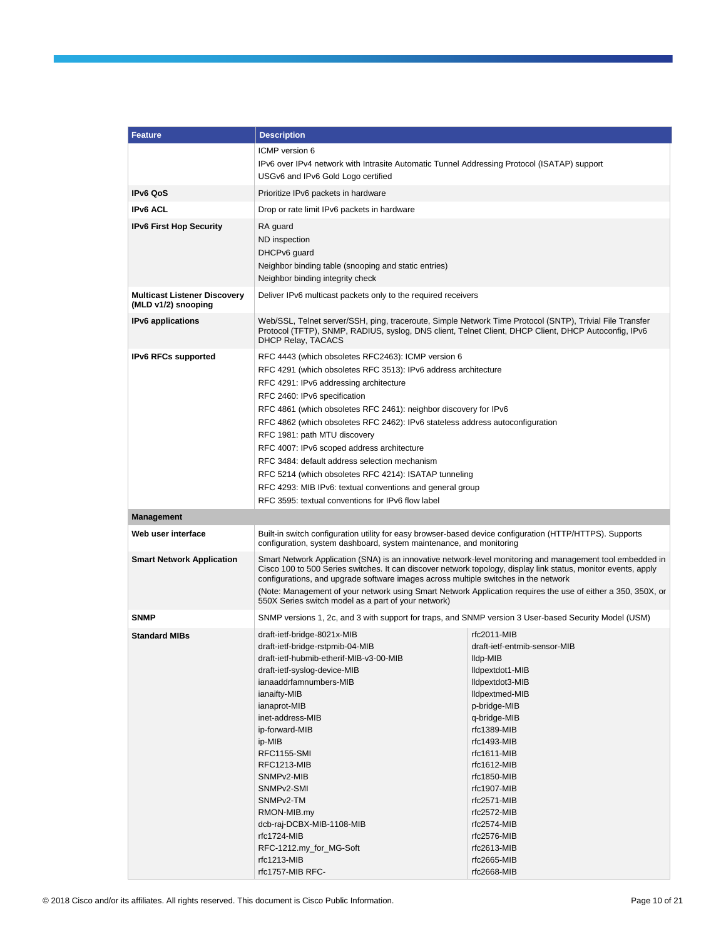| <b>Feature</b>                                             | <b>Description</b>                                                                                                                                                                                                                                                                                                 |                                          |  |  |  |  |
|------------------------------------------------------------|--------------------------------------------------------------------------------------------------------------------------------------------------------------------------------------------------------------------------------------------------------------------------------------------------------------------|------------------------------------------|--|--|--|--|
|                                                            | ICMP version 6                                                                                                                                                                                                                                                                                                     |                                          |  |  |  |  |
|                                                            | IPv6 over IPv4 network with Intrasite Automatic Tunnel Addressing Protocol (ISATAP) support                                                                                                                                                                                                                        |                                          |  |  |  |  |
|                                                            | USGv6 and IPv6 Gold Logo certified                                                                                                                                                                                                                                                                                 |                                          |  |  |  |  |
| <b>IPv6 QoS</b>                                            | Prioritize IPv6 packets in hardware                                                                                                                                                                                                                                                                                |                                          |  |  |  |  |
| <b>IPv6 ACL</b>                                            | Drop or rate limit IPv6 packets in hardware                                                                                                                                                                                                                                                                        |                                          |  |  |  |  |
| <b>IPv6 First Hop Security</b>                             | RA guard                                                                                                                                                                                                                                                                                                           |                                          |  |  |  |  |
|                                                            | ND inspection                                                                                                                                                                                                                                                                                                      |                                          |  |  |  |  |
|                                                            | DHCPv6 guard                                                                                                                                                                                                                                                                                                       |                                          |  |  |  |  |
|                                                            | Neighbor binding table (snooping and static entries)                                                                                                                                                                                                                                                               |                                          |  |  |  |  |
|                                                            | Neighbor binding integrity check                                                                                                                                                                                                                                                                                   |                                          |  |  |  |  |
| <b>Multicast Listener Discovery</b><br>(MLD v1/2) snooping | Deliver IPv6 multicast packets only to the required receivers                                                                                                                                                                                                                                                      |                                          |  |  |  |  |
| <b>IPv6</b> applications                                   | Web/SSL, Telnet server/SSH, ping, traceroute, Simple Network Time Protocol (SNTP), Trivial File Transfer<br>Protocol (TFTP), SNMP, RADIUS, syslog, DNS client, Telnet Client, DHCP Client, DHCP Autoconfig, IPv6<br><b>DHCP Relay, TACACS</b>                                                                      |                                          |  |  |  |  |
| <b>IPv6 RFCs supported</b>                                 | RFC 4443 (which obsoletes RFC2463): ICMP version 6                                                                                                                                                                                                                                                                 |                                          |  |  |  |  |
|                                                            | RFC 4291 (which obsoletes RFC 3513): IPv6 address architecture                                                                                                                                                                                                                                                     |                                          |  |  |  |  |
|                                                            | RFC 4291: IPv6 addressing architecture<br>RFC 2460: IPv6 specification                                                                                                                                                                                                                                             |                                          |  |  |  |  |
|                                                            | RFC 4861 (which obsoletes RFC 2461): neighbor discovery for IPv6                                                                                                                                                                                                                                                   |                                          |  |  |  |  |
|                                                            | RFC 4862 (which obsoletes RFC 2462): IPv6 stateless address autoconfiguration                                                                                                                                                                                                                                      |                                          |  |  |  |  |
|                                                            | RFC 1981: path MTU discovery                                                                                                                                                                                                                                                                                       |                                          |  |  |  |  |
|                                                            | RFC 4007: IPv6 scoped address architecture                                                                                                                                                                                                                                                                         |                                          |  |  |  |  |
|                                                            | RFC 3484: default address selection mechanism                                                                                                                                                                                                                                                                      |                                          |  |  |  |  |
|                                                            | RFC 5214 (which obsoletes RFC 4214): ISATAP tunneling                                                                                                                                                                                                                                                              |                                          |  |  |  |  |
|                                                            | RFC 4293: MIB IPv6: textual conventions and general group<br>RFC 3595: textual conventions for IPv6 flow label                                                                                                                                                                                                     |                                          |  |  |  |  |
| <b>Management</b>                                          |                                                                                                                                                                                                                                                                                                                    |                                          |  |  |  |  |
|                                                            |                                                                                                                                                                                                                                                                                                                    |                                          |  |  |  |  |
| Web user interface                                         | Built-in switch configuration utility for easy browser-based device configuration (HTTP/HTTPS). Supports<br>configuration, system dashboard, system maintenance, and monitoring                                                                                                                                    |                                          |  |  |  |  |
| <b>Smart Network Application</b>                           | Smart Network Application (SNA) is an innovative network-level monitoring and management tool embedded in<br>Cisco 100 to 500 Series switches. It can discover network topology, display link status, monitor events, apply<br>configurations, and upgrade software images across multiple switches in the network |                                          |  |  |  |  |
|                                                            | (Note: Management of your network using Smart Network Application requires the use of either a 350, 350X, or<br>550X Series switch model as a part of your network)                                                                                                                                                |                                          |  |  |  |  |
| <b>SNMP</b>                                                | SNMP versions 1, 2c, and 3 with support for traps, and SNMP version 3 User-based Security Model (USM)                                                                                                                                                                                                              |                                          |  |  |  |  |
| <b>Standard MIBs</b>                                       | draft-ietf-bridge-8021x-MIB                                                                                                                                                                                                                                                                                        | rfc2011-MIB                              |  |  |  |  |
|                                                            | draft-ietf-bridge-rstpmib-04-MIB<br>draft-ietf-hubmib-etherif-MIB-v3-00-MIB                                                                                                                                                                                                                                        | draft-ietf-entmib-sensor-MIB<br>lldp-MIB |  |  |  |  |
|                                                            | draft-ietf-syslog-device-MIB                                                                                                                                                                                                                                                                                       | lldpextdot1-MIB                          |  |  |  |  |
|                                                            | ianaaddrfamnumbers-MIB                                                                                                                                                                                                                                                                                             | lldpextdot3-MIB                          |  |  |  |  |
|                                                            | ianaifty-MIB                                                                                                                                                                                                                                                                                                       | <b>Ildpextmed-MIB</b>                    |  |  |  |  |
|                                                            | ianaprot-MIB                                                                                                                                                                                                                                                                                                       | p-bridge-MIB                             |  |  |  |  |
|                                                            | inet-address-MIB<br>ip-forward-MIB                                                                                                                                                                                                                                                                                 | q-bridge-MIB<br>rfc1389-MIB              |  |  |  |  |
|                                                            | ip-MIB                                                                                                                                                                                                                                                                                                             | $rfc1493-MIB$                            |  |  |  |  |
|                                                            | <b>RFC1155-SMI</b>                                                                                                                                                                                                                                                                                                 | $rfc1611-MIB$                            |  |  |  |  |
|                                                            | RFC1213-MIB                                                                                                                                                                                                                                                                                                        | $rfc1612-MIB$                            |  |  |  |  |
|                                                            | SNMP <sub>v2</sub> -MIB                                                                                                                                                                                                                                                                                            | rfc1850-MIB                              |  |  |  |  |
|                                                            | SNMP <sub>v2</sub> -SMI<br>SNMP <sub>v2</sub> -TM                                                                                                                                                                                                                                                                  | rfc1907-MIB<br>rfc2571-MIB               |  |  |  |  |
|                                                            | RMON-MIB.my                                                                                                                                                                                                                                                                                                        | rfc2572-MIB                              |  |  |  |  |
|                                                            | dcb-raj-DCBX-MIB-1108-MIB                                                                                                                                                                                                                                                                                          | rfc2574-MIB                              |  |  |  |  |
|                                                            | rfc1724-MIB                                                                                                                                                                                                                                                                                                        | rfc2576-MIB                              |  |  |  |  |
|                                                            | RFC-1212.my_for_MG-Soft<br>rfc1213-MIB                                                                                                                                                                                                                                                                             | rfc2613-MIB                              |  |  |  |  |
|                                                            | rfc1757-MIB RFC-                                                                                                                                                                                                                                                                                                   | rfc2665-MIB<br>rfc2668-MIB               |  |  |  |  |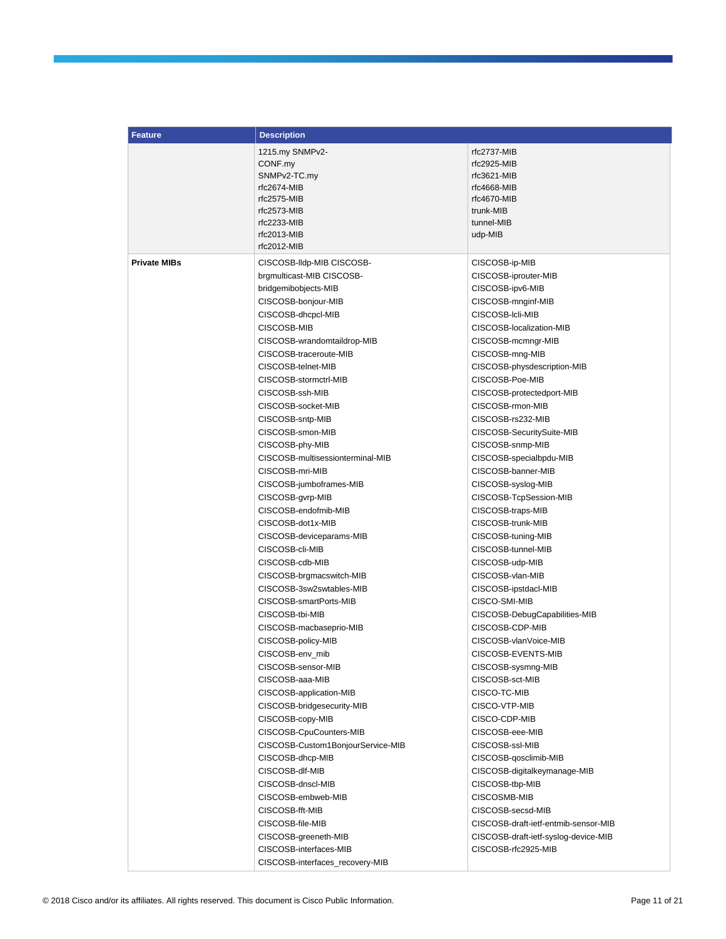| <b>Feature</b>      | <b>Description</b>                |                                      |  |  |
|---------------------|-----------------------------------|--------------------------------------|--|--|
|                     | 1215.my SNMPv2-                   | rfc2737-MIB                          |  |  |
|                     | CONF.my                           | rfc2925-MIB                          |  |  |
|                     | SNMPv2-TC.my                      | $rfc3621-MIB$                        |  |  |
|                     | rfc2674-MIB                       | rfc4668-MIB                          |  |  |
|                     | rfc2575-MIB                       | rfc4670-MIB                          |  |  |
|                     | rfc2573-MIB                       | trunk-MIB                            |  |  |
|                     | rfc2233-MIB                       | tunnel-MIB                           |  |  |
|                     | rfc2013-MIB                       | udp-MIB                              |  |  |
|                     | rfc2012-MIB                       |                                      |  |  |
| <b>Private MIBs</b> | CISCOSB-Ildp-MIB CISCOSB-         | CISCOSB-ip-MIB                       |  |  |
|                     | brgmulticast-MIB CISCOSB-         | CISCOSB-iprouter-MIB                 |  |  |
|                     | bridgemibobjects-MIB              | CISCOSB-ipv6-MIB                     |  |  |
|                     | CISCOSB-bonjour-MIB               | CISCOSB-mnginf-MIB                   |  |  |
|                     | CISCOSB-dhcpcl-MIB                | CISCOSB-Icli-MIB                     |  |  |
|                     | CISCOSB-MIB                       | CISCOSB-localization-MIB             |  |  |
|                     | CISCOSB-wrandomtaildrop-MIB       | CISCOSB-mcmngr-MIB                   |  |  |
|                     | CISCOSB-traceroute-MIB            | CISCOSB-mng-MIB                      |  |  |
|                     | CISCOSB-telnet-MIB                | CISCOSB-physdescription-MIB          |  |  |
|                     | CISCOSB-stormctrl-MIB             | CISCOSB-Poe-MIB                      |  |  |
|                     | CISCOSB-ssh-MIB                   | CISCOSB-protectedport-MIB            |  |  |
|                     | CISCOSB-socket-MIB                | CISCOSB-rmon-MIB                     |  |  |
|                     | CISCOSB-sntp-MIB                  | CISCOSB-rs232-MIB                    |  |  |
|                     | CISCOSB-smon-MIB                  | CISCOSB-SecuritySuite-MIB            |  |  |
|                     | CISCOSB-phy-MIB                   | CISCOSB-snmp-MIB                     |  |  |
|                     | CISCOSB-multisessionterminal-MIB  | CISCOSB-specialbpdu-MIB              |  |  |
|                     | CISCOSB-mri-MIB                   | CISCOSB-banner-MIB                   |  |  |
|                     | CISCOSB-jumboframes-MIB           | CISCOSB-syslog-MIB                   |  |  |
|                     | CISCOSB-gvrp-MIB                  | CISCOSB-TcpSession-MIB               |  |  |
|                     | CISCOSB-endofmib-MIB              | CISCOSB-traps-MIB                    |  |  |
|                     | CISCOSB-dot1x-MIB                 | CISCOSB-trunk-MIB                    |  |  |
|                     |                                   | CISCOSB-tuning-MIB                   |  |  |
|                     | CISCOSB-deviceparams-MIB          |                                      |  |  |
|                     | CISCOSB-cli-MIB                   | CISCOSB-tunnel-MIB                   |  |  |
|                     | CISCOSB-cdb-MIB                   | CISCOSB-udp-MIB                      |  |  |
|                     | CISCOSB-brgmacswitch-MIB          | CISCOSB-vlan-MIB                     |  |  |
|                     | CISCOSB-3sw2swtables-MIB          | CISCOSB-ipstdacl-MIB                 |  |  |
|                     | CISCOSB-smartPorts-MIB            | CISCO-SMI-MIB                        |  |  |
|                     | CISCOSB-tbi-MIB                   | CISCOSB-DebugCapabilities-MIB        |  |  |
|                     | CISCOSB-macbaseprio-MIB           | CISCOSB-CDP-MIB                      |  |  |
|                     | CISCOSB-policy-MIB                | CISCOSB-vlanVoice-MIB                |  |  |
|                     | CISCOSB-env_mib                   | CISCOSB-EVENTS-MIB                   |  |  |
|                     | CISCOSB-sensor-MIB                | CISCOSB-sysmng-MIB                   |  |  |
|                     | CISCOSB-aaa-MIB                   | CISCOSB-sct-MIB                      |  |  |
|                     | CISCOSB-application-MIB           | CISCO-TC-MIB                         |  |  |
|                     | CISCOSB-bridgesecurity-MIB        | CISCO-VTP-MIB                        |  |  |
|                     | CISCOSB-copy-MIB                  | CISCO-CDP-MIB                        |  |  |
|                     | CISCOSB-CpuCounters-MIB           | CISCOSB-eee-MIB                      |  |  |
|                     | CISCOSB-Custom1BonjourService-MIB | CISCOSB-ssl-MIB                      |  |  |
|                     | CISCOSB-dhcp-MIB                  | CISCOSB-qosclimib-MIB                |  |  |
|                     | CISCOSB-dlf-MIB                   | CISCOSB-digitalkeymanage-MIB         |  |  |
|                     | CISCOSB-dnscl-MIB                 | CISCOSB-tbp-MIB                      |  |  |
|                     | CISCOSB-embweb-MIB                | CISCOSMB-MIB                         |  |  |
|                     | CISCOSB-fft-MIB                   | CISCOSB-secsd-MIB                    |  |  |
|                     | CISCOSB-file-MIB                  | CISCOSB-draft-ietf-entmib-sensor-MIB |  |  |
|                     | CISCOSB-greeneth-MIB              | CISCOSB-draft-ietf-syslog-device-MIB |  |  |
|                     | CISCOSB-interfaces-MIB            | CISCOSB-rfc2925-MIB                  |  |  |
|                     | CISCOSB-interfaces_recovery-MIB   |                                      |  |  |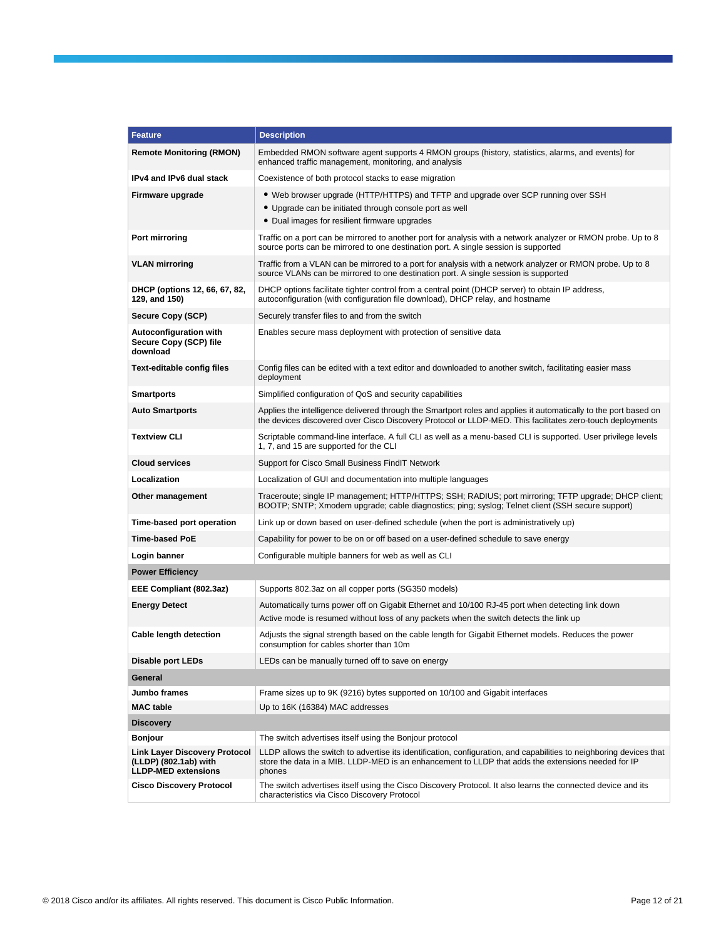| <b>Feature</b>                                                                              | <b>Description</b>                                                                                                                                                                                                                  |  |  |  |  |  |
|---------------------------------------------------------------------------------------------|-------------------------------------------------------------------------------------------------------------------------------------------------------------------------------------------------------------------------------------|--|--|--|--|--|
| <b>Remote Monitoring (RMON)</b>                                                             | Embedded RMON software agent supports 4 RMON groups (history, statistics, alarms, and events) for<br>enhanced traffic management, monitoring, and analysis                                                                          |  |  |  |  |  |
| <b>IPv4 and IPv6 dual stack</b>                                                             | Coexistence of both protocol stacks to ease migration                                                                                                                                                                               |  |  |  |  |  |
| Firmware upgrade                                                                            | • Web browser upgrade (HTTP/HTTPS) and TFTP and upgrade over SCP running over SSH                                                                                                                                                   |  |  |  |  |  |
|                                                                                             | • Upgrade can be initiated through console port as well                                                                                                                                                                             |  |  |  |  |  |
|                                                                                             | • Dual images for resilient firmware upgrades                                                                                                                                                                                       |  |  |  |  |  |
| Port mirroring                                                                              | Traffic on a port can be mirrored to another port for analysis with a network analyzer or RMON probe. Up to 8<br>source ports can be mirrored to one destination port. A single session is supported                                |  |  |  |  |  |
| <b>VLAN</b> mirroring                                                                       | Traffic from a VLAN can be mirrored to a port for analysis with a network analyzer or RMON probe. Up to 8<br>source VLANs can be mirrored to one destination port. A single session is supported                                    |  |  |  |  |  |
| DHCP (options 12, 66, 67, 82,<br>129, and 150)                                              | DHCP options facilitate tighter control from a central point (DHCP server) to obtain IP address,<br>autoconfiguration (with configuration file download), DHCP relay, and hostname                                                  |  |  |  |  |  |
| Secure Copy (SCP)                                                                           | Securely transfer files to and from the switch                                                                                                                                                                                      |  |  |  |  |  |
| <b>Autoconfiguration with</b><br>Secure Copy (SCP) file<br>download                         | Enables secure mass deployment with protection of sensitive data                                                                                                                                                                    |  |  |  |  |  |
| <b>Text-editable config files</b>                                                           | Config files can be edited with a text editor and downloaded to another switch, facilitating easier mass<br>deployment                                                                                                              |  |  |  |  |  |
| <b>Smartports</b>                                                                           | Simplified configuration of QoS and security capabilities                                                                                                                                                                           |  |  |  |  |  |
| <b>Auto Smartports</b>                                                                      | Applies the intelligence delivered through the Smartport roles and applies it automatically to the port based on<br>the devices discovered over Cisco Discovery Protocol or LLDP-MED. This facilitates zero-touch deployments       |  |  |  |  |  |
| <b>Textview CLI</b>                                                                         | Scriptable command-line interface. A full CLI as well as a menu-based CLI is supported. User privilege levels<br>1, 7, and 15 are supported for the CLI                                                                             |  |  |  |  |  |
| <b>Cloud services</b>                                                                       | Support for Cisco Small Business FindIT Network                                                                                                                                                                                     |  |  |  |  |  |
| Localization                                                                                | Localization of GUI and documentation into multiple languages                                                                                                                                                                       |  |  |  |  |  |
| Other management                                                                            | Traceroute; single IP management; HTTP/HTTPS; SSH; RADIUS; port mirroring; TFTP upgrade; DHCP client;<br>BOOTP; SNTP; Xmodem upgrade; cable diagnostics; ping; syslog; Telnet client (SSH secure support)                           |  |  |  |  |  |
| Time-based port operation                                                                   | Link up or down based on user-defined schedule (when the port is administratively up)                                                                                                                                               |  |  |  |  |  |
| <b>Time-based PoE</b>                                                                       | Capability for power to be on or off based on a user-defined schedule to save energy                                                                                                                                                |  |  |  |  |  |
| Login banner                                                                                | Configurable multiple banners for web as well as CLI                                                                                                                                                                                |  |  |  |  |  |
| <b>Power Efficiency</b>                                                                     |                                                                                                                                                                                                                                     |  |  |  |  |  |
| EEE Compliant (802.3az)                                                                     | Supports 802.3az on all copper ports (SG350 models)                                                                                                                                                                                 |  |  |  |  |  |
| <b>Energy Detect</b>                                                                        | Automatically turns power off on Gigabit Ethernet and 10/100 RJ-45 port when detecting link down                                                                                                                                    |  |  |  |  |  |
|                                                                                             | Active mode is resumed without loss of any packets when the switch detects the link up                                                                                                                                              |  |  |  |  |  |
| <b>Cable length detection</b>                                                               | Adjusts the signal strength based on the cable length for Gigabit Ethernet models. Reduces the power<br>consumption for cables shorter than 10m                                                                                     |  |  |  |  |  |
| Disable port LEDs                                                                           | LEDs can be manually turned off to save on energy                                                                                                                                                                                   |  |  |  |  |  |
| General                                                                                     |                                                                                                                                                                                                                                     |  |  |  |  |  |
| Jumbo frames                                                                                | Frame sizes up to 9K (9216) bytes supported on 10/100 and Gigabit interfaces                                                                                                                                                        |  |  |  |  |  |
| <b>MAC</b> table                                                                            | Up to 16K (16384) MAC addresses                                                                                                                                                                                                     |  |  |  |  |  |
| <b>Discovery</b>                                                                            |                                                                                                                                                                                                                                     |  |  |  |  |  |
| <b>Bonjour</b>                                                                              | The switch advertises itself using the Bonjour protocol                                                                                                                                                                             |  |  |  |  |  |
| <b>Link Layer Discovery Protocol</b><br>(LLDP) (802.1ab) with<br><b>LLDP-MED extensions</b> | LLDP allows the switch to advertise its identification, configuration, and capabilities to neighboring devices that<br>store the data in a MIB. LLDP-MED is an enhancement to LLDP that adds the extensions needed for IP<br>phones |  |  |  |  |  |
| <b>Cisco Discovery Protocol</b>                                                             | The switch advertises itself using the Cisco Discovery Protocol. It also learns the connected device and its<br>characteristics via Cisco Discovery Protocol                                                                        |  |  |  |  |  |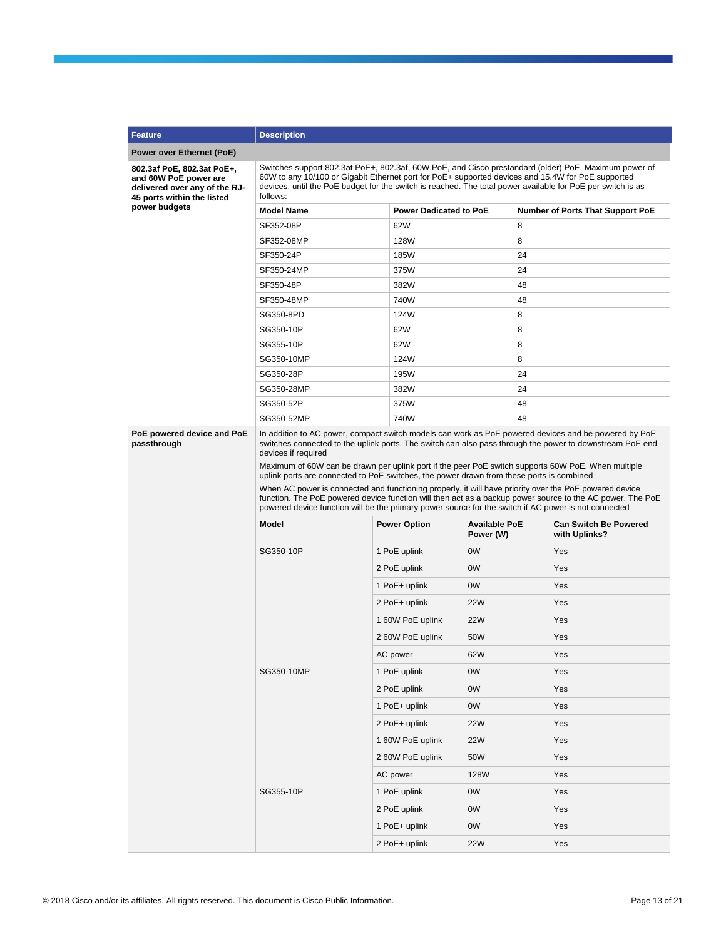| <b>Feature</b>                                                                                                     | <b>Description</b>                                                                                                                                                                                                                                                                                                                                                                                                                                                                                                                                                                                                                                                                                                                                                       |                               |                                   |          |                                               |  |  |  |
|--------------------------------------------------------------------------------------------------------------------|--------------------------------------------------------------------------------------------------------------------------------------------------------------------------------------------------------------------------------------------------------------------------------------------------------------------------------------------------------------------------------------------------------------------------------------------------------------------------------------------------------------------------------------------------------------------------------------------------------------------------------------------------------------------------------------------------------------------------------------------------------------------------|-------------------------------|-----------------------------------|----------|-----------------------------------------------|--|--|--|
| Power over Ethernet (PoE)                                                                                          |                                                                                                                                                                                                                                                                                                                                                                                                                                                                                                                                                                                                                                                                                                                                                                          |                               |                                   |          |                                               |  |  |  |
| 802.3af PoE, 802.3at PoE+,<br>and 60W PoE power are<br>delivered over any of the RJ-<br>45 ports within the listed | Switches support 802.3at PoE+, 802.3af, 60W PoE, and Cisco prestandard (older) PoE. Maximum power of<br>60W to any 10/100 or Gigabit Ethernet port for PoE+ supported devices and 15.4W for PoE supported<br>devices, until the PoE budget for the switch is reached. The total power available for PoE per switch is as<br>follows:                                                                                                                                                                                                                                                                                                                                                                                                                                     |                               |                                   |          |                                               |  |  |  |
| power budgets                                                                                                      | <b>Model Name</b>                                                                                                                                                                                                                                                                                                                                                                                                                                                                                                                                                                                                                                                                                                                                                        | <b>Power Dedicated to PoE</b> |                                   |          | <b>Number of Ports That Support PoE</b>       |  |  |  |
|                                                                                                                    | SF352-08P                                                                                                                                                                                                                                                                                                                                                                                                                                                                                                                                                                                                                                                                                                                                                                | 62W                           |                                   | 8        |                                               |  |  |  |
|                                                                                                                    | SF352-08MP                                                                                                                                                                                                                                                                                                                                                                                                                                                                                                                                                                                                                                                                                                                                                               | 128W                          |                                   | 8        |                                               |  |  |  |
|                                                                                                                    | SF350-24P                                                                                                                                                                                                                                                                                                                                                                                                                                                                                                                                                                                                                                                                                                                                                                | 185W                          |                                   | 24       |                                               |  |  |  |
|                                                                                                                    | SF350-24MP                                                                                                                                                                                                                                                                                                                                                                                                                                                                                                                                                                                                                                                                                                                                                               | 375W                          |                                   | 24       |                                               |  |  |  |
|                                                                                                                    | SF350-48P                                                                                                                                                                                                                                                                                                                                                                                                                                                                                                                                                                                                                                                                                                                                                                | 382W                          |                                   | 48       |                                               |  |  |  |
|                                                                                                                    | SF350-48MP                                                                                                                                                                                                                                                                                                                                                                                                                                                                                                                                                                                                                                                                                                                                                               | 740W                          |                                   | 48       |                                               |  |  |  |
|                                                                                                                    | SG350-8PD                                                                                                                                                                                                                                                                                                                                                                                                                                                                                                                                                                                                                                                                                                                                                                | 124W                          |                                   | 8        |                                               |  |  |  |
|                                                                                                                    | SG350-10P                                                                                                                                                                                                                                                                                                                                                                                                                                                                                                                                                                                                                                                                                                                                                                | 62W                           |                                   | 8        |                                               |  |  |  |
|                                                                                                                    | SG355-10P                                                                                                                                                                                                                                                                                                                                                                                                                                                                                                                                                                                                                                                                                                                                                                | 62W                           |                                   | 8        |                                               |  |  |  |
|                                                                                                                    | SG350-10MP                                                                                                                                                                                                                                                                                                                                                                                                                                                                                                                                                                                                                                                                                                                                                               | 124W                          |                                   | 8        |                                               |  |  |  |
|                                                                                                                    | SG350-28P                                                                                                                                                                                                                                                                                                                                                                                                                                                                                                                                                                                                                                                                                                                                                                | 195W                          |                                   | 24       |                                               |  |  |  |
|                                                                                                                    | SG350-28MP                                                                                                                                                                                                                                                                                                                                                                                                                                                                                                                                                                                                                                                                                                                                                               | 382W                          |                                   | 24       |                                               |  |  |  |
|                                                                                                                    | SG350-52P<br>SG350-52MP                                                                                                                                                                                                                                                                                                                                                                                                                                                                                                                                                                                                                                                                                                                                                  | 375W<br>740W                  |                                   | 48<br>48 |                                               |  |  |  |
| PoE powered device and PoE<br>passthrough                                                                          | In addition to AC power, compact switch models can work as PoE powered devices and be powered by PoE<br>switches connected to the uplink ports. The switch can also pass through the power to downstream PoE end<br>devices if required<br>Maximum of 60W can be drawn per uplink port if the peer PoE switch supports 60W PoE. When multiple<br>uplink ports are connected to PoE switches, the power drawn from these ports is combined<br>When AC power is connected and functioning properly, it will have priority over the PoE powered device<br>function. The PoE powered device function will then act as a backup power source to the AC power. The PoE<br>powered device function will be the primary power source for the switch if AC power is not connected |                               |                                   |          |                                               |  |  |  |
|                                                                                                                    | <b>Model</b>                                                                                                                                                                                                                                                                                                                                                                                                                                                                                                                                                                                                                                                                                                                                                             | <b>Power Option</b>           | <b>Available PoE</b><br>Power (W) |          | <b>Can Switch Be Powered</b><br>with Uplinks? |  |  |  |
|                                                                                                                    | SG350-10P                                                                                                                                                                                                                                                                                                                                                                                                                                                                                                                                                                                                                                                                                                                                                                | 1 PoE uplink                  | 0 <sub>W</sub>                    |          | Yes                                           |  |  |  |
|                                                                                                                    |                                                                                                                                                                                                                                                                                                                                                                                                                                                                                                                                                                                                                                                                                                                                                                          | 2 PoE uplink                  | 0 <sub>W</sub>                    |          | Yes                                           |  |  |  |
|                                                                                                                    |                                                                                                                                                                                                                                                                                                                                                                                                                                                                                                                                                                                                                                                                                                                                                                          | 1 PoE+ uplink                 | 0W                                |          | Yes                                           |  |  |  |
|                                                                                                                    |                                                                                                                                                                                                                                                                                                                                                                                                                                                                                                                                                                                                                                                                                                                                                                          | 2 PoE+ uplink                 | <b>22W</b>                        |          | Yes                                           |  |  |  |
|                                                                                                                    |                                                                                                                                                                                                                                                                                                                                                                                                                                                                                                                                                                                                                                                                                                                                                                          | 1 60W PoE uplink              | <b>22W</b>                        |          | Yes                                           |  |  |  |
|                                                                                                                    |                                                                                                                                                                                                                                                                                                                                                                                                                                                                                                                                                                                                                                                                                                                                                                          | 2 60W PoE uplink              | 50W                               |          | Yes                                           |  |  |  |
|                                                                                                                    |                                                                                                                                                                                                                                                                                                                                                                                                                                                                                                                                                                                                                                                                                                                                                                          | AC power                      | 62W                               |          | Yes                                           |  |  |  |
|                                                                                                                    | SG350-10MP                                                                                                                                                                                                                                                                                                                                                                                                                                                                                                                                                                                                                                                                                                                                                               | 1 PoE uplink                  |                                   |          | Yes                                           |  |  |  |
|                                                                                                                    |                                                                                                                                                                                                                                                                                                                                                                                                                                                                                                                                                                                                                                                                                                                                                                          |                               | 0W                                |          |                                               |  |  |  |
|                                                                                                                    |                                                                                                                                                                                                                                                                                                                                                                                                                                                                                                                                                                                                                                                                                                                                                                          | 2 PoE uplink                  | 0W                                |          | Yes                                           |  |  |  |
|                                                                                                                    |                                                                                                                                                                                                                                                                                                                                                                                                                                                                                                                                                                                                                                                                                                                                                                          | 1 PoE+ uplink                 | 0W                                |          | Yes                                           |  |  |  |
|                                                                                                                    |                                                                                                                                                                                                                                                                                                                                                                                                                                                                                                                                                                                                                                                                                                                                                                          | 2 PoE+ uplink                 | 22W                               |          | Yes                                           |  |  |  |
|                                                                                                                    |                                                                                                                                                                                                                                                                                                                                                                                                                                                                                                                                                                                                                                                                                                                                                                          | 1 60W PoE uplink              | <b>22W</b>                        |          | Yes                                           |  |  |  |
|                                                                                                                    |                                                                                                                                                                                                                                                                                                                                                                                                                                                                                                                                                                                                                                                                                                                                                                          | 2 60W PoE uplink              | 50W                               |          | Yes                                           |  |  |  |
|                                                                                                                    |                                                                                                                                                                                                                                                                                                                                                                                                                                                                                                                                                                                                                                                                                                                                                                          | AC power                      | 128W                              |          | Yes                                           |  |  |  |
|                                                                                                                    | SG355-10P                                                                                                                                                                                                                                                                                                                                                                                                                                                                                                                                                                                                                                                                                                                                                                | 1 PoE uplink                  | 0W                                |          | Yes                                           |  |  |  |
|                                                                                                                    |                                                                                                                                                                                                                                                                                                                                                                                                                                                                                                                                                                                                                                                                                                                                                                          | 2 PoE uplink                  | 0W                                |          | Yes                                           |  |  |  |
|                                                                                                                    |                                                                                                                                                                                                                                                                                                                                                                                                                                                                                                                                                                                                                                                                                                                                                                          | 1 PoE+ uplink                 | 0W                                |          | Yes                                           |  |  |  |
|                                                                                                                    |                                                                                                                                                                                                                                                                                                                                                                                                                                                                                                                                                                                                                                                                                                                                                                          | 2 PoE+ uplink                 | <b>22W</b>                        |          | Yes                                           |  |  |  |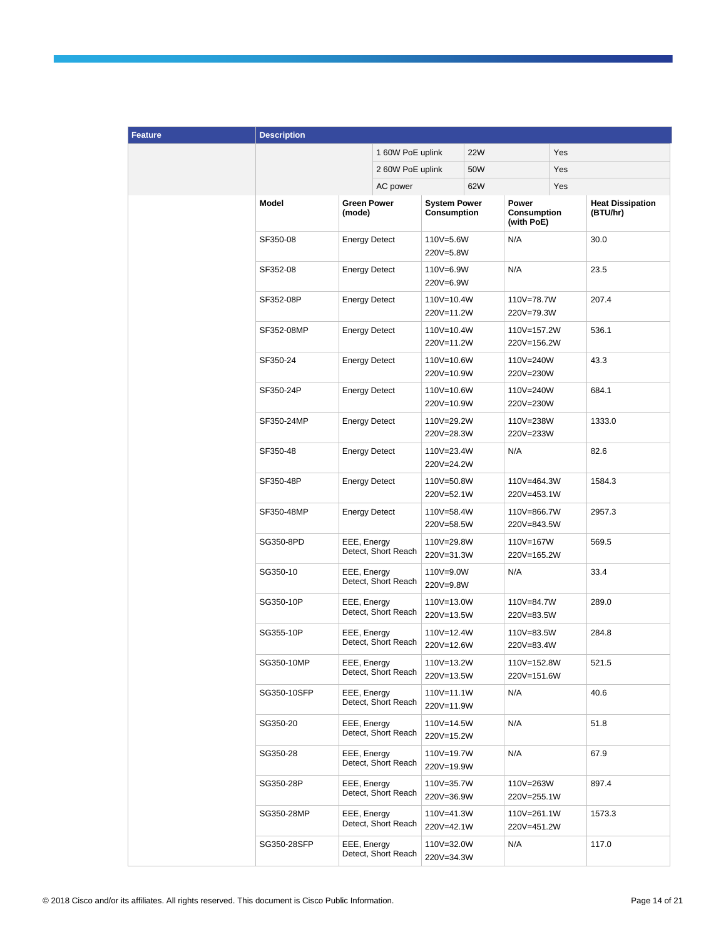| <b>Feature</b> | <b>Description</b> |                              |                     |                                    |            |                                    |     |                                     |
|----------------|--------------------|------------------------------|---------------------|------------------------------------|------------|------------------------------------|-----|-------------------------------------|
|                |                    |                              | 1 60W PoE uplink    |                                    | <b>22W</b> |                                    | Yes |                                     |
|                |                    |                              | 2 60W PoE uplink    |                                    | 50W        |                                    | Yes |                                     |
|                |                    |                              | AC power            |                                    | 62W        | Yes                                |     |                                     |
|                | Model              | <b>Green Power</b><br>(mode) |                     | <b>System Power</b><br>Consumption |            | Power<br>Consumption<br>(with PoE) |     | <b>Heat Dissipation</b><br>(BTU/hr) |
|                | SF350-08           | <b>Energy Detect</b>         |                     | 110V=5.6W<br>220V=5.8W             |            | N/A                                |     | 30.0                                |
|                | SF352-08           | <b>Energy Detect</b>         |                     | 110V=6.9W<br>220V=6.9W             |            | N/A                                |     | 23.5                                |
|                | SF352-08P          | <b>Energy Detect</b>         |                     | 110V=10.4W<br>220V=11.2W           |            | 110V=78.7W<br>220V=79.3W           |     | 207.4                               |
|                | SF352-08MP         | <b>Energy Detect</b>         |                     | 110V=10.4W<br>220V=11.2W           |            | 110V=157.2W<br>220V=156.2W         |     | 536.1                               |
|                | SF350-24           | <b>Energy Detect</b>         |                     | 110V=10.6W<br>220V=10.9W           |            | 110V=240W<br>220V=230W             |     | 43.3                                |
|                | SF350-24P          | <b>Energy Detect</b>         |                     | 110V=10.6W<br>220V=10.9W           |            | 110V=240W<br>220V=230W             |     | 684.1                               |
|                | SF350-24MP         | <b>Energy Detect</b>         |                     | 110V=29.2W<br>220V=28.3W           |            | 110V=238W<br>220V=233W             |     | 1333.0                              |
|                | SF350-48           | <b>Energy Detect</b>         |                     | 110V=23.4W<br>220V=24.2W           |            | N/A                                |     | 82.6                                |
|                | SF350-48P          | <b>Energy Detect</b>         |                     | 110V=50.8W<br>220V=52.1W           |            | 110V=464.3W<br>220V=453.1W         |     | 1584.3                              |
|                | SF350-48MP         | <b>Energy Detect</b>         |                     | 110V=58.4W<br>220V=58.5W           |            | 110V=866.7W<br>220V=843.5W         |     | 2957.3                              |
|                | SG350-8PD          | EEE, Energy                  | Detect, Short Reach | 110V=29.8W<br>220V=31.3W           |            | 110V=167W<br>220V=165.2W           |     | 569.5                               |
|                | SG350-10           | EEE, Energy                  | Detect, Short Reach | 110V=9.0W<br>220V=9.8W             |            | N/A                                |     | 33.4                                |
|                | SG350-10P          | EEE, Energy                  | Detect, Short Reach | 110V=13.0W<br>220V=13.5W           |            | 110V=84.7W<br>220V=83.5W           |     | 289.0                               |
|                | SG355-10P          | EEE, Energy                  | Detect, Short Reach | 110V=12.4W<br>220V=12.6W           |            | 110V=83.5W<br>220V=83.4W           |     | 284.8                               |
|                | SG350-10MP         | EEE, Energy                  | Detect, Short Reach | 110V=13.2W<br>220V=13.5W           |            | 110V=152.8W<br>220V=151.6W         |     | 521.5                               |
|                | SG350-10SFP        | EEE, Energy                  | Detect, Short Reach | 110V=11.1W<br>220V=11.9W           |            | N/A                                |     | 40.6                                |
|                | SG350-20           | EEE, Energy                  | Detect, Short Reach | 110V=14.5W<br>220V=15.2W           |            | N/A                                |     | 51.8                                |
|                | SG350-28           | EEE, Energy                  | Detect, Short Reach | 110V=19.7W<br>220V=19.9W           |            | N/A                                |     | 67.9                                |
|                | SG350-28P          | EEE, Energy                  | Detect, Short Reach | 110V=35.7W<br>220V=36.9W           |            | 110V=263W<br>220V=255.1W           |     | 897.4                               |
|                | SG350-28MP         | EEE, Energy                  | Detect, Short Reach | 110V=41.3W<br>220V=42.1W           |            | 110V=261.1W<br>220V=451.2W         |     | 1573.3                              |
|                | SG350-28SFP        | EEE, Energy                  | Detect, Short Reach | 110V=32.0W<br>220V=34.3W           |            | N/A                                |     | 117.0                               |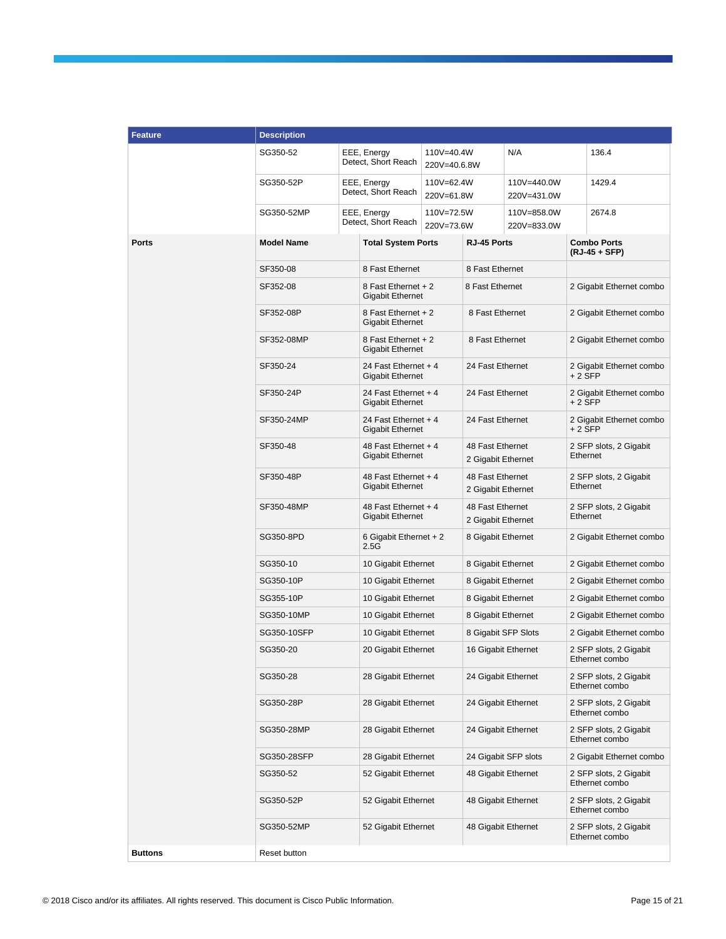| <b>Feature</b> | <b>Description</b> |                                                 |                                                 |                                                                                           |                                        |                            |                                          |                                          |  |
|----------------|--------------------|-------------------------------------------------|-------------------------------------------------|-------------------------------------------------------------------------------------------|----------------------------------------|----------------------------|------------------------------------------|------------------------------------------|--|
|                | SG350-52           |                                                 | EEE, Energy<br>Detect, Short Reach              | 110V=40.4W<br>220V=40.6.8W                                                                |                                        | N/A                        |                                          | 136.4                                    |  |
|                | SG350-52P          | EEE, Energy<br>Detect, Short Reach              |                                                 | 110V=62.4W<br>220V=61.8W                                                                  |                                        | 110V=440.0W<br>220V=431.0W |                                          | 1429.4                                   |  |
|                | SG350-52MP         |                                                 | EEE, Energy<br>Detect, Short Reach              | 110V=72.5W<br>220V=73.6W                                                                  |                                        | 110V=858.0W<br>220V=833.0W |                                          | 2674.8                                   |  |
| <b>Ports</b>   | <b>Model Name</b>  |                                                 | <b>Total System Ports</b>                       | RJ-45 Ports                                                                               |                                        |                            | <b>Combo Ports</b><br>(RJ-45 + SFP)      |                                          |  |
|                | SF350-08           |                                                 | 8 Fast Ethernet                                 |                                                                                           | 8 Fast Ethernet                        |                            |                                          |                                          |  |
|                | SF352-08           |                                                 | 8 Fast Ethernet + 2<br><b>Gigabit Ethernet</b>  |                                                                                           | 8 Fast Ethernet                        |                            |                                          | 2 Gigabit Ethernet combo                 |  |
|                | SF352-08P          |                                                 | 8 Fast Ethernet + 2<br><b>Gigabit Ethernet</b>  |                                                                                           | 8 Fast Ethernet                        |                            |                                          | 2 Gigabit Ethernet combo                 |  |
|                | SF352-08MP         |                                                 | 8 Fast Ethernet + 2<br><b>Gigabit Ethernet</b>  |                                                                                           | 8 Fast Ethernet                        |                            |                                          | 2 Gigabit Ethernet combo                 |  |
|                | SF350-24           |                                                 | 24 Fast Ethernet + 4<br><b>Gigabit Ethernet</b> |                                                                                           | 24 Fast Ethernet                       |                            | $+2$ SFP                                 | 2 Gigabit Ethernet combo                 |  |
|                | SF350-24P          |                                                 | 24 Fast Ethernet + 4<br><b>Gigabit Ethernet</b> |                                                                                           | 24 Fast Ethernet                       |                            | $+2$ SFP                                 | 2 Gigabit Ethernet combo                 |  |
|                | SF350-24MP         | 24 Fast Ethernet + 4<br><b>Gigabit Ethernet</b> |                                                 |                                                                                           | 24 Fast Ethernet                       |                            | 2 Gigabit Ethernet combo<br>$+2$ SFP     |                                          |  |
|                | SF350-48           |                                                 | 48 Fast Ethernet + 4<br><b>Gigabit Ethernet</b> |                                                                                           | 48 Fast Ethernet<br>2 Gigabit Ethernet |                            | 2 SFP slots, 2 Gigabit<br>Ethernet       |                                          |  |
|                | SF350-48P          |                                                 | <b>Gigabit Ethernet</b>                         | 48 Fast Ethernet + 4<br>48 Fast Ethernet<br>2 Gigabit Ethernet                            |                                        |                            |                                          | 2 SFP slots, 2 Gigabit<br>Ethernet       |  |
|                | SF350-48MP         |                                                 |                                                 | 48 Fast Ethernet + 4<br>48 Fast Ethernet<br><b>Gigabit Ethernet</b><br>2 Gigabit Ethernet |                                        |                            |                                          | 2 SFP slots, 2 Gigabit<br>Ethernet       |  |
|                | SG350-8PD          |                                                 | 6 Gigabit Ethernet + 2<br>2.5G                  |                                                                                           | 8 Gigabit Ethernet                     |                            |                                          | 2 Gigabit Ethernet combo                 |  |
|                | SG350-10           |                                                 | 10 Gigabit Ethernet                             |                                                                                           | 8 Gigabit Ethernet                     |                            |                                          | 2 Gigabit Ethernet combo                 |  |
|                | SG350-10P          |                                                 | 10 Gigabit Ethernet                             |                                                                                           | 8 Gigabit Ethernet                     |                            | 2 Gigabit Ethernet combo                 |                                          |  |
|                | SG355-10P          |                                                 |                                                 | 10 Gigabit Ethernet                                                                       | 8 Gigabit Ethernet                     |                            |                                          | 2 Gigabit Ethernet combo                 |  |
|                | SG350-10MP         |                                                 |                                                 | 10 Gigabit Ethernet                                                                       |                                        | 8 Gigabit Ethernet         |                                          | 2 Gigabit Ethernet combo                 |  |
|                | SG350-10SFP        |                                                 | 10 Gigabit Ethernet                             |                                                                                           | 8 Gigabit SFP Slots                    |                            | 2 Gigabit Ethernet combo                 |                                          |  |
|                | SG350-20           |                                                 | 20 Gigabit Ethernet                             |                                                                                           |                                        | 16 Gigabit Ethernet        |                                          | 2 SFP slots, 2 Gigabit<br>Ethernet combo |  |
|                | SG350-28           |                                                 | 28 Gigabit Ethernet                             |                                                                                           | 24 Gigabit Ethernet                    |                            | 2 SFP slots, 2 Gigabit<br>Ethernet combo |                                          |  |
|                | SG350-28P          |                                                 | 28 Gigabit Ethernet                             |                                                                                           | 24 Gigabit Ethernet                    |                            | 2 SFP slots, 2 Gigabit<br>Ethernet combo |                                          |  |
|                | SG350-28MP         |                                                 | 28 Gigabit Ethernet                             |                                                                                           | 24 Gigabit Ethernet                    |                            | 2 SFP slots, 2 Gigabit<br>Ethernet combo |                                          |  |
|                | SG350-28SFP        |                                                 | 28 Gigabit Ethernet                             |                                                                                           |                                        | 24 Gigabit SFP slots       |                                          | 2 Gigabit Ethernet combo                 |  |
|                | SG350-52           |                                                 | 52 Gigabit Ethernet                             |                                                                                           | 48 Gigabit Ethernet                    |                            | 2 SFP slots, 2 Gigabit<br>Ethernet combo |                                          |  |
|                | SG350-52P          |                                                 | 52 Gigabit Ethernet                             |                                                                                           | 48 Gigabit Ethernet                    |                            | 2 SFP slots, 2 Gigabit<br>Ethernet combo |                                          |  |
|                | SG350-52MP         |                                                 | 52 Gigabit Ethernet                             |                                                                                           | 48 Gigabit Ethernet                    |                            |                                          | 2 SFP slots, 2 Gigabit<br>Ethernet combo |  |
| <b>Buttons</b> | Reset button       |                                                 |                                                 |                                                                                           |                                        |                            |                                          |                                          |  |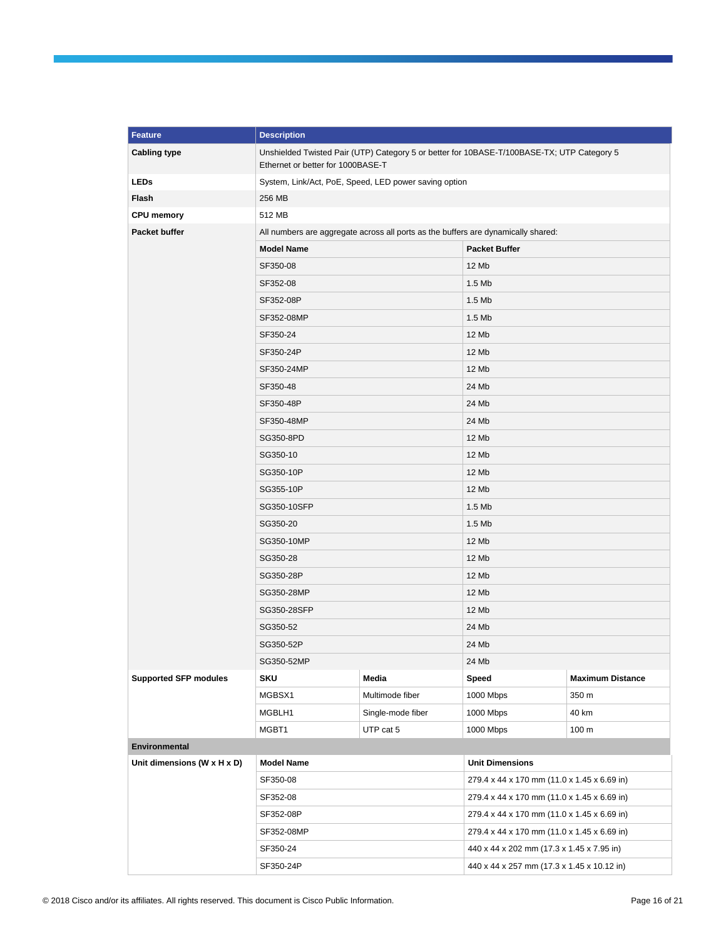| <b>Feature</b>               | <b>Description</b>                                                                                                              |                   |                                             |                         |  |  |  |
|------------------------------|---------------------------------------------------------------------------------------------------------------------------------|-------------------|---------------------------------------------|-------------------------|--|--|--|
| <b>Cabling type</b>          | Unshielded Twisted Pair (UTP) Category 5 or better for 10BASE-T/100BASE-TX; UTP Category 5<br>Ethernet or better for 1000BASE-T |                   |                                             |                         |  |  |  |
| <b>LEDs</b>                  | System, Link/Act, PoE, Speed, LED power saving option                                                                           |                   |                                             |                         |  |  |  |
| Flash                        | 256 MB                                                                                                                          |                   |                                             |                         |  |  |  |
| <b>CPU</b> memory            | 512 MB                                                                                                                          |                   |                                             |                         |  |  |  |
| Packet buffer                | All numbers are aggregate across all ports as the buffers are dynamically shared:                                               |                   |                                             |                         |  |  |  |
|                              | <b>Model Name</b>                                                                                                               |                   | <b>Packet Buffer</b>                        |                         |  |  |  |
|                              | SF350-08                                                                                                                        |                   | 12 Mb                                       |                         |  |  |  |
|                              | SF352-08                                                                                                                        |                   | $1.5$ Mb                                    |                         |  |  |  |
|                              | SF352-08P                                                                                                                       |                   | $1.5$ Mb                                    |                         |  |  |  |
|                              | SF352-08MP                                                                                                                      |                   | $1.5$ Mb                                    |                         |  |  |  |
|                              | SF350-24                                                                                                                        |                   | 12 Mb                                       |                         |  |  |  |
|                              | SF350-24P                                                                                                                       |                   | 12 Mb                                       |                         |  |  |  |
|                              | SF350-24MP                                                                                                                      |                   | 12 Mb                                       |                         |  |  |  |
|                              | SF350-48                                                                                                                        |                   | 24 Mb                                       |                         |  |  |  |
|                              | SF350-48P                                                                                                                       |                   | 24 Mb                                       |                         |  |  |  |
|                              | SF350-48MP                                                                                                                      |                   | 24 Mb                                       |                         |  |  |  |
|                              | SG350-8PD                                                                                                                       |                   | 12 Mb                                       |                         |  |  |  |
|                              | SG350-10                                                                                                                        |                   | 12 Mb                                       |                         |  |  |  |
|                              | SG350-10P                                                                                                                       |                   | 12 Mb                                       |                         |  |  |  |
|                              | SG355-10P                                                                                                                       |                   | 12 Mb                                       |                         |  |  |  |
|                              | SG350-10SFP                                                                                                                     |                   | $1.5$ Mb                                    |                         |  |  |  |
|                              | SG350-20                                                                                                                        |                   | $1.5$ Mb                                    |                         |  |  |  |
|                              | SG350-10MP                                                                                                                      |                   | 12 Mb                                       |                         |  |  |  |
|                              | SG350-28                                                                                                                        |                   | 12 Mb                                       |                         |  |  |  |
|                              | SG350-28P                                                                                                                       |                   | 12 Mb                                       |                         |  |  |  |
|                              | SG350-28MP                                                                                                                      |                   | 12 Mb                                       |                         |  |  |  |
|                              | SG350-28SFP                                                                                                                     |                   | 12 Mb                                       |                         |  |  |  |
|                              | SG350-52                                                                                                                        |                   |                                             | 24 Mb                   |  |  |  |
|                              | SG350-52P                                                                                                                       |                   | 24 Mb                                       |                         |  |  |  |
|                              | SG350-52MP                                                                                                                      |                   | 24 Mb                                       |                         |  |  |  |
| <b>Supported SFP modules</b> | <b>SKU</b>                                                                                                                      | Media             | Speed                                       | <b>Maximum Distance</b> |  |  |  |
|                              | MGBSX1                                                                                                                          | Multimode fiber   | 1000 Mbps                                   | 350 m                   |  |  |  |
|                              | MGBLH1                                                                                                                          | Single-mode fiber | 1000 Mbps                                   | 40 km                   |  |  |  |
|                              | MGBT1<br>UTP cat 5                                                                                                              |                   | 1000 Mbps                                   | 100 <sub>m</sub>        |  |  |  |
| Environmental                |                                                                                                                                 |                   |                                             |                         |  |  |  |
| Unit dimensions (W x H x D)  | <b>Model Name</b>                                                                                                               |                   | <b>Unit Dimensions</b>                      |                         |  |  |  |
|                              | SF350-08                                                                                                                        |                   | 279.4 x 44 x 170 mm (11.0 x 1.45 x 6.69 in) |                         |  |  |  |
|                              | SF352-08                                                                                                                        |                   | 279.4 x 44 x 170 mm (11.0 x 1.45 x 6.69 in) |                         |  |  |  |
|                              | SF352-08P                                                                                                                       |                   | 279.4 x 44 x 170 mm (11.0 x 1.45 x 6.69 in) |                         |  |  |  |
|                              | SF352-08MP                                                                                                                      |                   | 279.4 x 44 x 170 mm (11.0 x 1.45 x 6.69 in) |                         |  |  |  |
|                              | SF350-24                                                                                                                        |                   | 440 x 44 x 202 mm (17.3 x 1.45 x 7.95 in)   |                         |  |  |  |
|                              | SF350-24P                                                                                                                       |                   | 440 x 44 x 257 mm (17.3 x 1.45 x 10.12 in)  |                         |  |  |  |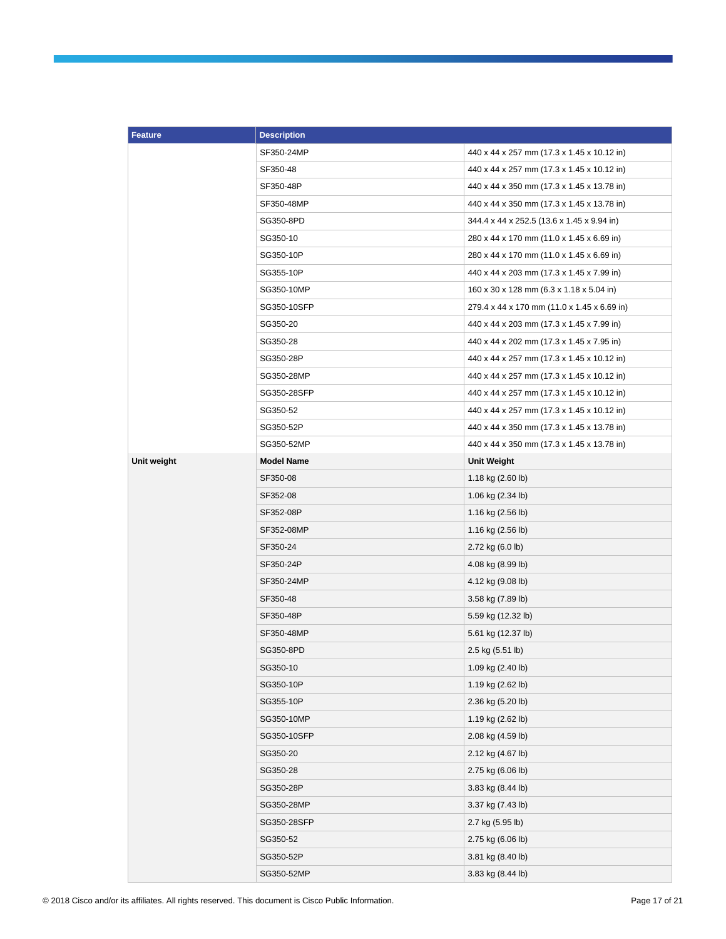| <b>Feature</b> | <b>Description</b> |                                             |  |  |  |
|----------------|--------------------|---------------------------------------------|--|--|--|
|                | SF350-24MP         | 440 x 44 x 257 mm (17.3 x 1.45 x 10.12 in)  |  |  |  |
|                | SF350-48           | 440 x 44 x 257 mm (17.3 x 1.45 x 10.12 in)  |  |  |  |
|                | SF350-48P          | 440 x 44 x 350 mm (17.3 x 1.45 x 13.78 in)  |  |  |  |
|                | SF350-48MP         | 440 x 44 x 350 mm (17.3 x 1.45 x 13.78 in)  |  |  |  |
|                | SG350-8PD          | 344.4 x 44 x 252.5 (13.6 x 1.45 x 9.94 in)  |  |  |  |
|                | SG350-10           | 280 x 44 x 170 mm (11.0 x 1.45 x 6.69 in)   |  |  |  |
|                | SG350-10P          | 280 x 44 x 170 mm (11.0 x 1.45 x 6.69 in)   |  |  |  |
|                | SG355-10P          | 440 x 44 x 203 mm (17.3 x 1.45 x 7.99 in)   |  |  |  |
|                | SG350-10MP         | 160 x 30 x 128 mm (6.3 x 1.18 x 5.04 in)    |  |  |  |
|                | SG350-10SFP        | 279.4 x 44 x 170 mm (11.0 x 1.45 x 6.69 in) |  |  |  |
|                | SG350-20           | 440 x 44 x 203 mm (17.3 x 1.45 x 7.99 in)   |  |  |  |
|                | SG350-28           | 440 x 44 x 202 mm (17.3 x 1.45 x 7.95 in)   |  |  |  |
|                | SG350-28P          | 440 x 44 x 257 mm (17.3 x 1.45 x 10.12 in)  |  |  |  |
|                | SG350-28MP         | 440 x 44 x 257 mm (17.3 x 1.45 x 10.12 in)  |  |  |  |
|                | SG350-28SFP        | 440 x 44 x 257 mm (17.3 x 1.45 x 10.12 in)  |  |  |  |
|                | SG350-52           | 440 x 44 x 257 mm (17.3 x 1.45 x 10.12 in)  |  |  |  |
|                | SG350-52P          | 440 x 44 x 350 mm (17.3 x 1.45 x 13.78 in)  |  |  |  |
|                | SG350-52MP         | 440 x 44 x 350 mm (17.3 x 1.45 x 13.78 in)  |  |  |  |
| Unit weight    | <b>Model Name</b>  | Unit Weight                                 |  |  |  |
|                | SF350-08           | 1.18 kg (2.60 lb)                           |  |  |  |
|                | SF352-08           | 1.06 kg (2.34 lb)                           |  |  |  |
|                | SF352-08P          | 1.16 kg (2.56 lb)                           |  |  |  |
|                | SF352-08MP         | 1.16 kg (2.56 lb)                           |  |  |  |
|                | SF350-24           | 2.72 kg (6.0 lb)                            |  |  |  |
|                | SF350-24P          | 4.08 kg (8.99 lb)                           |  |  |  |
|                | SF350-24MP         | 4.12 kg (9.08 lb)                           |  |  |  |
|                | SF350-48           | 3.58 kg (7.89 lb)                           |  |  |  |
|                | SF350-48P          | 5.59 kg (12.32 lb)                          |  |  |  |
|                | SF350-48MP         | 5.61 kg (12.37 lb)                          |  |  |  |
|                | SG350-8PD          | 2.5 kg (5.51 lb)                            |  |  |  |
|                | SG350-10           | 1.09 kg (2.40 lb)                           |  |  |  |
|                | SG350-10P          | 1.19 kg (2.62 lb)                           |  |  |  |
|                | SG355-10P          | 2.36 kg (5.20 lb)                           |  |  |  |
|                | SG350-10MP         | 1.19 kg (2.62 lb)                           |  |  |  |
|                | SG350-10SFP        | 2.08 kg (4.59 lb)                           |  |  |  |
|                | SG350-20           | 2.12 kg (4.67 lb)                           |  |  |  |
|                | SG350-28           | 2.75 kg (6.06 lb)                           |  |  |  |
|                | SG350-28P          | 3.83 kg (8.44 lb)                           |  |  |  |
|                | SG350-28MP         | 3.37 kg (7.43 lb)                           |  |  |  |
|                | SG350-28SFP        | 2.7 kg (5.95 lb)                            |  |  |  |
|                | SG350-52           | 2.75 kg (6.06 lb)                           |  |  |  |
|                | SG350-52P          | 3.81 kg (8.40 lb)                           |  |  |  |
|                | SG350-52MP         | 3.83 kg (8.44 lb)                           |  |  |  |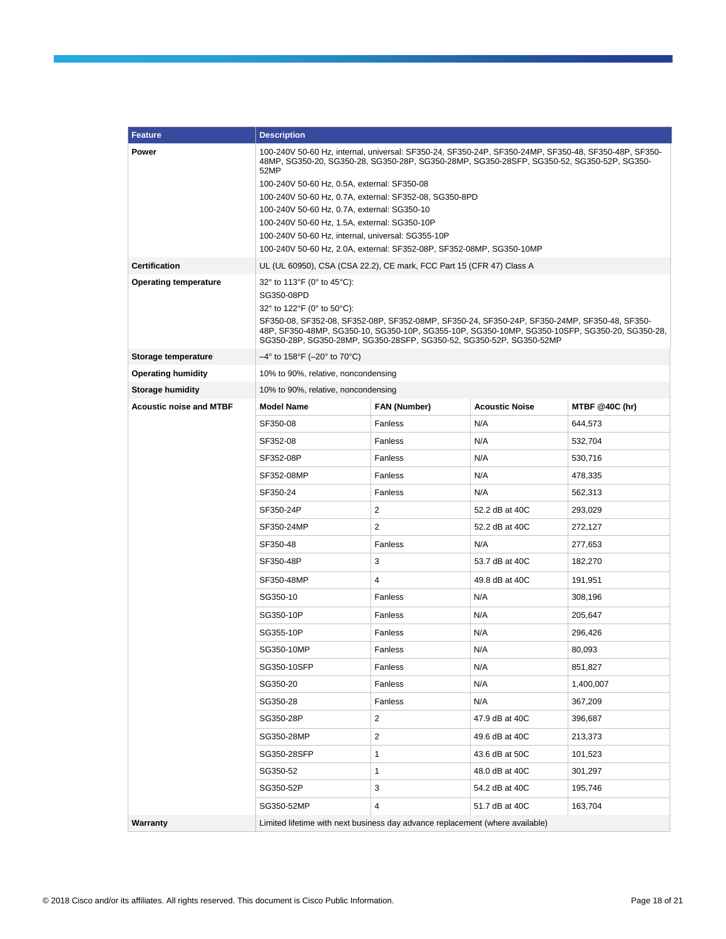| <b>Feature</b>                 | <b>Description</b>                                                                                                                                                                                                                                                                                                                                                                       |              |                       |                       |  |  |  |
|--------------------------------|------------------------------------------------------------------------------------------------------------------------------------------------------------------------------------------------------------------------------------------------------------------------------------------------------------------------------------------------------------------------------------------|--------------|-----------------------|-----------------------|--|--|--|
| Power                          | 100-240V 50-60 Hz, internal, universal: SF350-24, SF350-24P, SF350-24MP, SF350-48, SF350-48P, SF350-<br>48MP, SG350-20, SG350-28, SG350-28P, SG350-28MP, SG350-28SFP, SG350-52, SG350-52P, SG350-<br>52MP                                                                                                                                                                                |              |                       |                       |  |  |  |
|                                | 100-240V 50-60 Hz, 0.5A, external: SF350-08                                                                                                                                                                                                                                                                                                                                              |              |                       |                       |  |  |  |
|                                | 100-240V 50-60 Hz, 0.7A, external: SF352-08, SG350-8PD                                                                                                                                                                                                                                                                                                                                   |              |                       |                       |  |  |  |
|                                | 100-240V 50-60 Hz, 0.7A, external: SG350-10                                                                                                                                                                                                                                                                                                                                              |              |                       |                       |  |  |  |
|                                | 100-240V 50-60 Hz, 1.5A, external: SG350-10P<br>100-240V 50-60 Hz, internal, universal: SG355-10P                                                                                                                                                                                                                                                                                        |              |                       |                       |  |  |  |
|                                | 100-240V 50-60 Hz, 2.0A, external: SF352-08P, SF352-08MP, SG350-10MP                                                                                                                                                                                                                                                                                                                     |              |                       |                       |  |  |  |
| <b>Certification</b>           | UL (UL 60950), CSA (CSA 22.2), CE mark, FCC Part 15 (CFR 47) Class A                                                                                                                                                                                                                                                                                                                     |              |                       |                       |  |  |  |
| <b>Operating temperature</b>   | 32° to 113°F (0° to 45°C):<br>SG350-08PD<br>32 $^{\circ}$ to 122 $^{\circ}$ F (0 $^{\circ}$ to 50 $^{\circ}$ C):<br>SF350-08, SF352-08, SF352-08P, SF352-08MP, SF350-24, SF350-24P, SF350-24MP, SF350-48, SF350-<br>48P, SF350-48MP, SG350-10, SG350-10P, SG355-10P, SG350-10MP, SG350-10SFP, SG350-20, SG350-28,<br>SG350-28P, SG350-28MP, SG350-28SFP, SG350-52, SG350-52P, SG350-52MP |              |                       |                       |  |  |  |
| Storage temperature            | $-4^{\circ}$ to 158°F ( $-20^{\circ}$ to 70°C)                                                                                                                                                                                                                                                                                                                                           |              |                       |                       |  |  |  |
| <b>Operating humidity</b>      | 10% to 90%, relative, noncondensing                                                                                                                                                                                                                                                                                                                                                      |              |                       |                       |  |  |  |
| <b>Storage humidity</b>        | 10% to 90%, relative, noncondensing                                                                                                                                                                                                                                                                                                                                                      |              |                       |                       |  |  |  |
| <b>Acoustic noise and MTBF</b> | <b>Model Name</b>                                                                                                                                                                                                                                                                                                                                                                        | FAN (Number) | <b>Acoustic Noise</b> | <b>MTBF @40C (hr)</b> |  |  |  |
|                                | SF350-08                                                                                                                                                                                                                                                                                                                                                                                 | Fanless      | N/A                   | 644,573               |  |  |  |
|                                | SF352-08                                                                                                                                                                                                                                                                                                                                                                                 | Fanless      | N/A                   | 532,704               |  |  |  |
|                                | SF352-08P                                                                                                                                                                                                                                                                                                                                                                                | Fanless      | N/A                   | 530,716               |  |  |  |
|                                | SF352-08MP                                                                                                                                                                                                                                                                                                                                                                               | Fanless      | N/A                   | 478,335               |  |  |  |
|                                | SF350-24                                                                                                                                                                                                                                                                                                                                                                                 | Fanless      | N/A                   | 562,313               |  |  |  |
|                                | SF350-24P                                                                                                                                                                                                                                                                                                                                                                                | 2            | 52.2 dB at 40C        | 293,029               |  |  |  |
|                                | SF350-24MP                                                                                                                                                                                                                                                                                                                                                                               | 2            | 52.2 dB at 40C        | 272,127               |  |  |  |
|                                | SF350-48                                                                                                                                                                                                                                                                                                                                                                                 | Fanless      | N/A                   | 277,653               |  |  |  |
|                                | SF350-48P                                                                                                                                                                                                                                                                                                                                                                                | 3            | 53.7 dB at 40C        | 182,270               |  |  |  |
|                                | SF350-48MP                                                                                                                                                                                                                                                                                                                                                                               | 4            | 49.8 dB at 40C        | 191,951               |  |  |  |
|                                | SG350-10                                                                                                                                                                                                                                                                                                                                                                                 | Fanless      | N/A                   | 308,196               |  |  |  |
|                                | SG350-10P                                                                                                                                                                                                                                                                                                                                                                                | Fanless      | N/A                   | 205,647               |  |  |  |
|                                | SG355-10P                                                                                                                                                                                                                                                                                                                                                                                | Fanless      | N/A                   | 296,426               |  |  |  |
|                                | SG350-10MP                                                                                                                                                                                                                                                                                                                                                                               | Fanless      | N/A                   | 80,093                |  |  |  |
|                                | SG350-10SFP                                                                                                                                                                                                                                                                                                                                                                              | Fanless      | N/A                   | 851,827               |  |  |  |
|                                | SG350-20                                                                                                                                                                                                                                                                                                                                                                                 | Fanless      | N/A                   | 1,400,007             |  |  |  |
|                                | SG350-28                                                                                                                                                                                                                                                                                                                                                                                 | Fanless      | N/A                   | 367,209               |  |  |  |
|                                | SG350-28P                                                                                                                                                                                                                                                                                                                                                                                | 2            | 47.9 dB at 40C        | 396,687               |  |  |  |
|                                | SG350-28MP                                                                                                                                                                                                                                                                                                                                                                               | 2            | 49.6 dB at 40C        | 213,373               |  |  |  |
|                                | SG350-28SFP                                                                                                                                                                                                                                                                                                                                                                              | 1            | 43.6 dB at 50C        | 101,523               |  |  |  |
|                                | SG350-52                                                                                                                                                                                                                                                                                                                                                                                 | 1            | 48.0 dB at 40C        | 301,297               |  |  |  |
|                                | SG350-52P                                                                                                                                                                                                                                                                                                                                                                                | 3            | 54.2 dB at 40C        | 195,746               |  |  |  |
|                                | SG350-52MP                                                                                                                                                                                                                                                                                                                                                                               | 4            | 51.7 dB at 40C        | 163,704               |  |  |  |
| Warranty                       | Limited lifetime with next business day advance replacement (where available)                                                                                                                                                                                                                                                                                                            |              |                       |                       |  |  |  |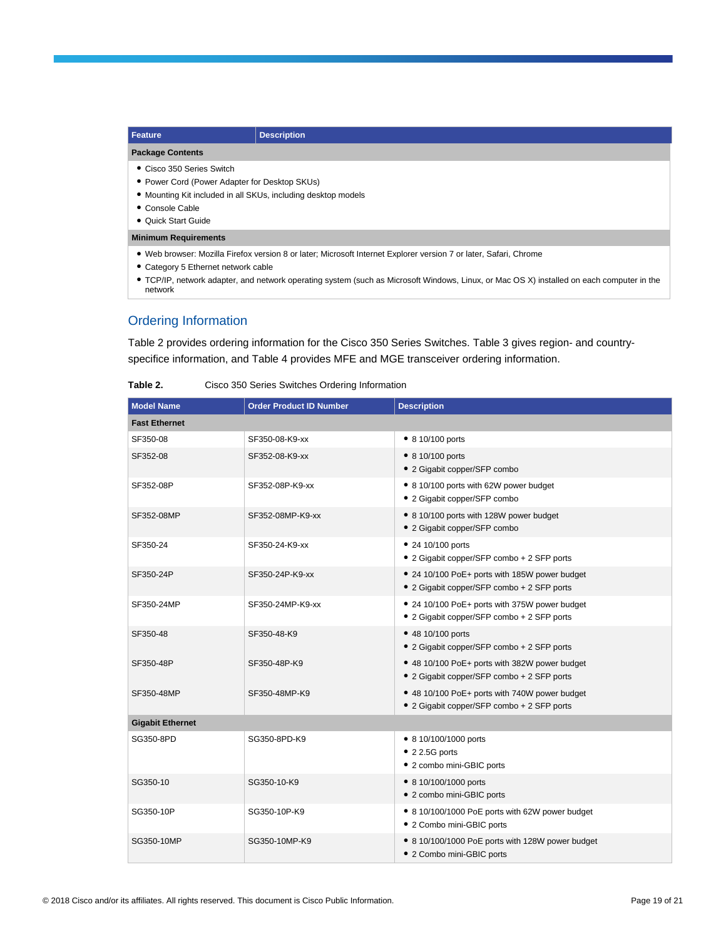| <b>Feature</b>                                                                                                    | <b>Description</b> |
|-------------------------------------------------------------------------------------------------------------------|--------------------|
| <b>Package Contents</b>                                                                                           |                    |
| • Cisco 350 Series Switch                                                                                         |                    |
| • Power Cord (Power Adapter for Desktop SKUs)                                                                     |                    |
| • Mounting Kit included in all SKUs, including desktop models                                                     |                    |
| • Console Cable                                                                                                   |                    |
| • Quick Start Guide                                                                                               |                    |
| <b>Minimum Requirements</b>                                                                                       |                    |
| • Web browser: Mozilla Firefox version 8 or later; Microsoft Internet Explorer version 7 or later, Safari, Chrome |                    |

- Category 5 Ethernet network cable
- TCP/IP, network adapter, and network operating system (such as Microsoft Windows, Linux, or Mac OS X) installed on each computer in the network

#### Ordering Information

Table 2 provides ordering information for the Cisco 350 Series Switches. Table 3 gives region- and countryspecifice information, and Table 4 provides MFE and MGE transceiver ordering information.

| <b>Model Name</b>       | <b>Order Product ID Number</b> | <b>Description</b>                                                                          |  |  |
|-------------------------|--------------------------------|---------------------------------------------------------------------------------------------|--|--|
| <b>Fast Ethernet</b>    |                                |                                                                                             |  |  |
| SF350-08                | SF350-08-K9-xx                 | • 8 10/100 ports                                                                            |  |  |
| SF352-08                | SF352-08-K9-xx                 | • 8 10/100 ports<br>• 2 Gigabit copper/SFP combo                                            |  |  |
| SF352-08P               | SF352-08P-K9-xx                | • 8 10/100 ports with 62W power budget<br>• 2 Gigabit copper/SFP combo                      |  |  |
| SF352-08MP              | SF352-08MP-K9-xx               | • 8 10/100 ports with 128W power budget<br>• 2 Gigabit copper/SFP combo                     |  |  |
| SF350-24                | SF350-24-K9-xx                 | • 24 10/100 ports<br>• 2 Gigabit copper/SFP combo + 2 SFP ports                             |  |  |
| SF350-24P               | SF350-24P-K9-xx                | • 24 10/100 PoE+ ports with 185W power budget<br>• 2 Gigabit copper/SFP combo + 2 SFP ports |  |  |
| SF350-24MP              | SF350-24MP-K9-xx               | • 24 10/100 PoE+ ports with 375W power budget<br>• 2 Gigabit copper/SFP combo + 2 SFP ports |  |  |
| SF350-48                | SF350-48-K9                    | • 48 10/100 ports<br>• 2 Gigabit copper/SFP combo + 2 SFP ports                             |  |  |
| SF350-48P               | SF350-48P-K9                   | • 48 10/100 PoE+ ports with 382W power budget<br>• 2 Gigabit copper/SFP combo + 2 SFP ports |  |  |
| SF350-48MP              | SF350-48MP-K9                  | • 48 10/100 PoE+ ports with 740W power budget<br>• 2 Gigabit copper/SFP combo + 2 SFP ports |  |  |
| <b>Gigabit Ethernet</b> |                                |                                                                                             |  |  |
| SG350-8PD               | SG350-8PD-K9                   | • 8 10/100/1000 ports<br>$\bullet$ 2 2.5G ports<br>• 2 combo mini-GBIC ports                |  |  |
| SG350-10                | SG350-10-K9                    | • 8 10/100/1000 ports<br>• 2 combo mini-GBIC ports                                          |  |  |
| SG350-10P               | SG350-10P-K9                   | • 8 10/100/1000 PoE ports with 62W power budget<br>• 2 Combo mini-GBIC ports                |  |  |
| SG350-10MP              | SG350-10MP-K9                  | • 8 10/100/1000 PoE ports with 128W power budget<br>• 2 Combo mini-GBIC ports               |  |  |

Table 2. Cisco 350 Series Switches Ordering Information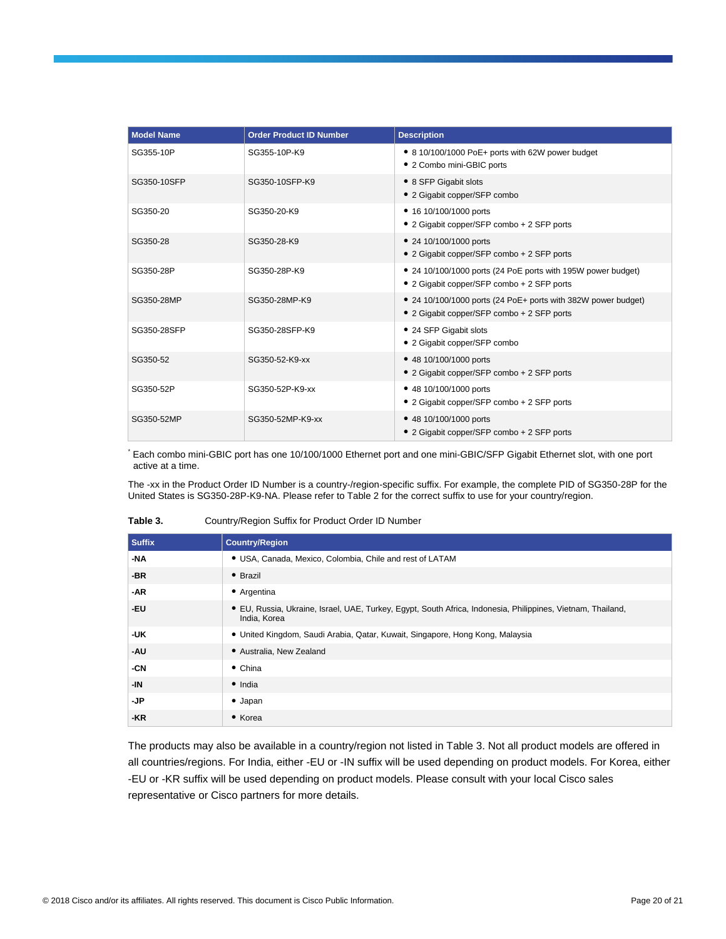| <b>Model Name</b> | <b>Order Product ID Number</b> | <b>Description</b>                                                                                          |
|-------------------|--------------------------------|-------------------------------------------------------------------------------------------------------------|
| SG355-10P         | SG355-10P-K9                   | • 8 10/100/1000 PoE+ ports with 62W power budget<br>• 2 Combo mini-GBIC ports                               |
| SG350-10SFP       | SG350-10SFP-K9                 | • 8 SFP Gigabit slots<br>• 2 Gigabit copper/SFP combo                                                       |
| SG350-20          | SG350-20-K9                    | • 16 10/100/1000 ports<br>• 2 Gigabit copper/SFP combo + 2 SFP ports                                        |
| SG350-28          | SG350-28-K9                    | • 24 10/100/1000 ports<br>• 2 Gigabit copper/SFP combo + 2 SFP ports                                        |
| SG350-28P         | SG350-28P-K9                   | • 24 10/100/1000 ports (24 PoE ports with 195W power budget)<br>• 2 Gigabit copper/SFP combo + 2 SFP ports  |
| SG350-28MP        | SG350-28MP-K9                  | • 24 10/100/1000 ports (24 PoE+ ports with 382W power budget)<br>• 2 Gigabit copper/SFP combo + 2 SFP ports |
| SG350-28SFP       | SG350-28SFP-K9                 | • 24 SFP Gigabit slots<br>• 2 Gigabit copper/SFP combo                                                      |
| SG350-52          | SG350-52-K9-xx                 | • 48 10/100/1000 ports<br>• 2 Gigabit copper/SFP combo + 2 SFP ports                                        |
| SG350-52P         | SG350-52P-K9-xx                | • 48 10/100/1000 ports<br>• 2 Gigabit copper/SFP combo + 2 SFP ports                                        |
| SG350-52MP        | SG350-52MP-K9-xx               | • 48 10/100/1000 ports<br>• 2 Gigabit copper/SFP combo + 2 SFP ports                                        |

\* Each combo mini-GBIC port has one 10/100/1000 Ethernet port and one mini-GBIC/SFP Gigabit Ethernet slot, with one port active at a time.

The -xx in the Product Order ID Number is a country-/region-specific suffix. For example, the complete PID of SG350-28P for the United States is SG350-28P-K9-NA. Please refer to Table 2 for the correct suffix to use for your country/region.

| Table 3. | Country/Region Suffix for Product Order ID Number |
|----------|---------------------------------------------------|
|----------|---------------------------------------------------|

| <b>Suffix</b> | <b>Country/Region</b>                                                                                                       |
|---------------|-----------------------------------------------------------------------------------------------------------------------------|
| -NA           | • USA, Canada, Mexico, Colombia, Chile and rest of LATAM                                                                    |
| $-BR$         | • Brazil                                                                                                                    |
| -AR           | • Argentina                                                                                                                 |
| -EU           | • EU, Russia, Ukraine, Israel, UAE, Turkey, Egypt, South Africa, Indonesia, Philippines, Vietnam, Thailand,<br>India, Korea |
| -UK           | · United Kingdom, Saudi Arabia, Qatar, Kuwait, Singapore, Hong Kong, Malaysia                                               |
| -AU           | • Australia, New Zealand                                                                                                    |
| -CN           | $\bullet$ China                                                                                                             |
| -IN           | $\bullet$ India                                                                                                             |
| -JP           | $\bullet$ Japan                                                                                                             |
| -KR           | • Korea                                                                                                                     |

The products may also be available in a country/region not listed in Table 3. Not all product models are offered in all countries/regions. For India, either -EU or -IN suffix will be used depending on product models. For Korea, either -EU or -KR suffix will be used depending on product models. Please consult with your local Cisco sales representative or Cisco partners for more details.